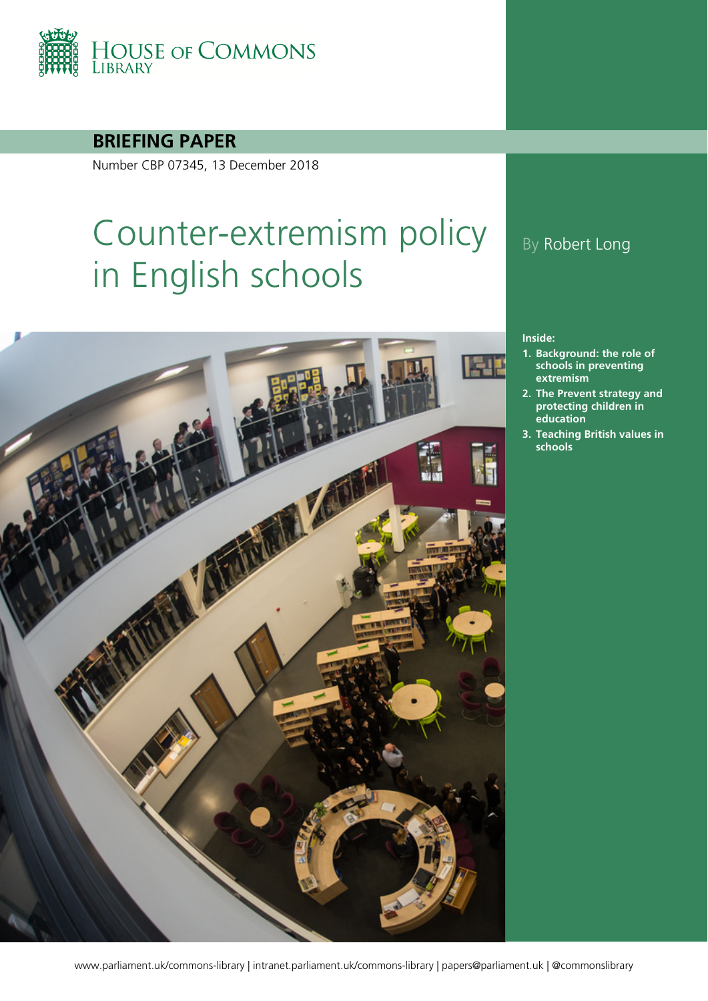

### **BRIEFING PAPER**

Number CBP 07345, 13 December 2018

# Counter-extremism policy in English schools



## By Robert Long

#### **Inside:**

- **1. [Background: the role of](#page-3-0)  [schools in preventing](#page-3-0)  [extremism](#page-3-0)**
- **2. [The Prevent strategy and](#page-5-0)  [protecting children in](#page-5-0)  [education](#page-5-0)**
- **3. [Teaching British values in](#page-19-0)  [schools](#page-19-0)**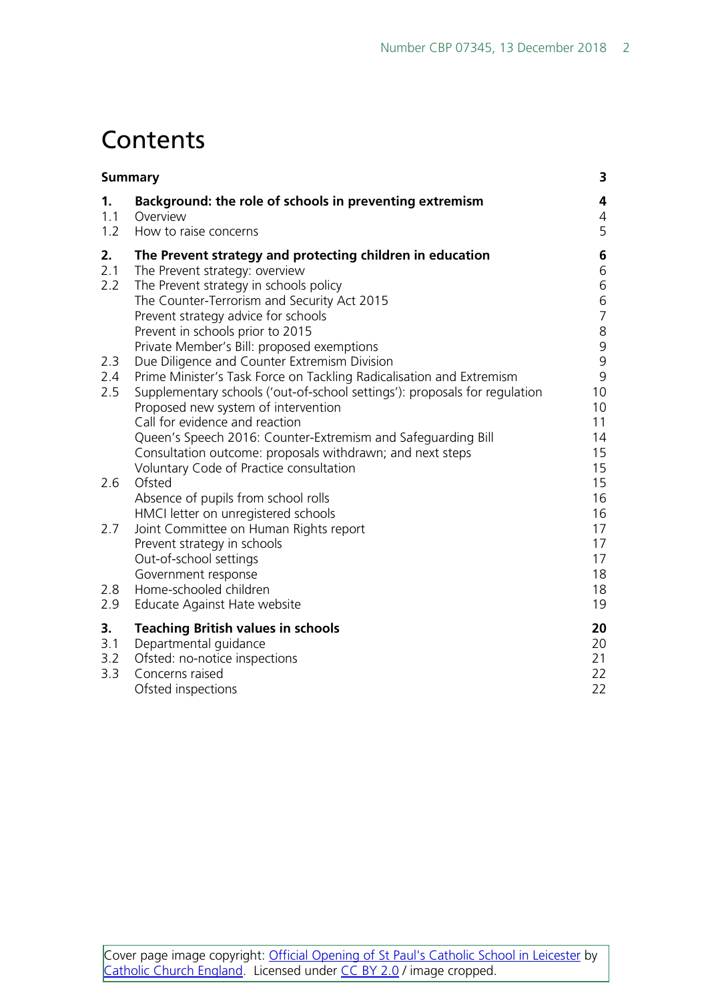# **Contents**

| <b>Summary</b>          |                                                                                                                                                                                                                                                                                                                                                                                                                                                     | 3                                                      |
|-------------------------|-----------------------------------------------------------------------------------------------------------------------------------------------------------------------------------------------------------------------------------------------------------------------------------------------------------------------------------------------------------------------------------------------------------------------------------------------------|--------------------------------------------------------|
| 1.<br>1.1<br>1.2        | Background: the role of schools in preventing extremism<br>Overview<br>How to raise concerns                                                                                                                                                                                                                                                                                                                                                        | 4<br>$\overline{4}$<br>5                               |
| 2.<br>2.1<br>2.2        | The Prevent strategy and protecting children in education<br>The Prevent strategy: overview<br>The Prevent strategy in schools policy<br>The Counter-Terrorism and Security Act 2015<br>Prevent strategy advice for schools<br>Prevent in schools prior to 2015<br>Private Member's Bill: proposed exemptions                                                                                                                                       | 6<br>6<br>$\,$ 6 $\,$<br>6<br>$\overline{7}$<br>8<br>9 |
| 2.3<br>2.4<br>2.5       | Due Diligence and Counter Extremism Division<br>Prime Minister's Task Force on Tackling Radicalisation and Extremism<br>Supplementary schools ('out-of-school settings'): proposals for regulation<br>Proposed new system of intervention<br>Call for evidence and reaction<br>Queen's Speech 2016: Counter-Extremism and Safeguarding Bill<br>Consultation outcome: proposals withdrawn; and next steps<br>Voluntary Code of Practice consultation | $\mathsf 9$<br>9<br>10<br>10<br>11<br>14<br>15<br>15   |
| 2.6                     | Ofsted<br>Absence of pupils from school rolls<br>HMCI letter on unregistered schools                                                                                                                                                                                                                                                                                                                                                                | 15<br>16<br>16                                         |
| 2.7<br>2.8<br>2.9       | Joint Committee on Human Rights report<br>Prevent strategy in schools<br>Out-of-school settings<br>Government response<br>Home-schooled children<br>Educate Against Hate website                                                                                                                                                                                                                                                                    | 17<br>17<br>17<br>18<br>18<br>19                       |
| 3.<br>3.1<br>3.2<br>3.3 | <b>Teaching British values in schools</b><br>Departmental guidance<br>Ofsted: no-notice inspections<br>Concerns raised<br>Ofsted inspections                                                                                                                                                                                                                                                                                                        | 20<br>20<br>21<br>22<br>22                             |

Cover page image copyright: [Official Opening of St Paul's Catholic School in Leicester](https://www.flickr.com/photos/catholicism/16468633404/in/photolist-r6h3Xf-rKGV8L-s39HAw-rKFDJu-r6u43R-rKEfYG-nsTGgs-ad7xgp-9e4gXq-9uEcAJ-qrJGXJ-eepbm-6rcN13-5i9SLE-7Dkdgq-tQX4oR-mr81Y3-4kudXv-9H4VtM-gXHe1d-6Ya6wF-otXYGN-6HPwgi-7oBZwz-8eCKgN-sry38Y-6y4D85-rUtJdM-dZgc3Q-7ZMFCk-9u1Hrn-k7hLbk-87RBa8-dtZLj9-uyCEXn-a2NMC9-5RpyJF-e7gFa-4gEeri-9F5f4s-8RCnVm-pNdKo8-e5xi47-9VpaoU-9UGjcG-5qQmNL-89TAR6-dEuSpJ-quL4iA-fYs8c) by [Catholic Church England.](https://www.flickr.com/photos/catholicism/) Licensed under [CC BY 2.0](https://creativecommons.org/licenses/by-nc-sa/2.0/) / image cropped.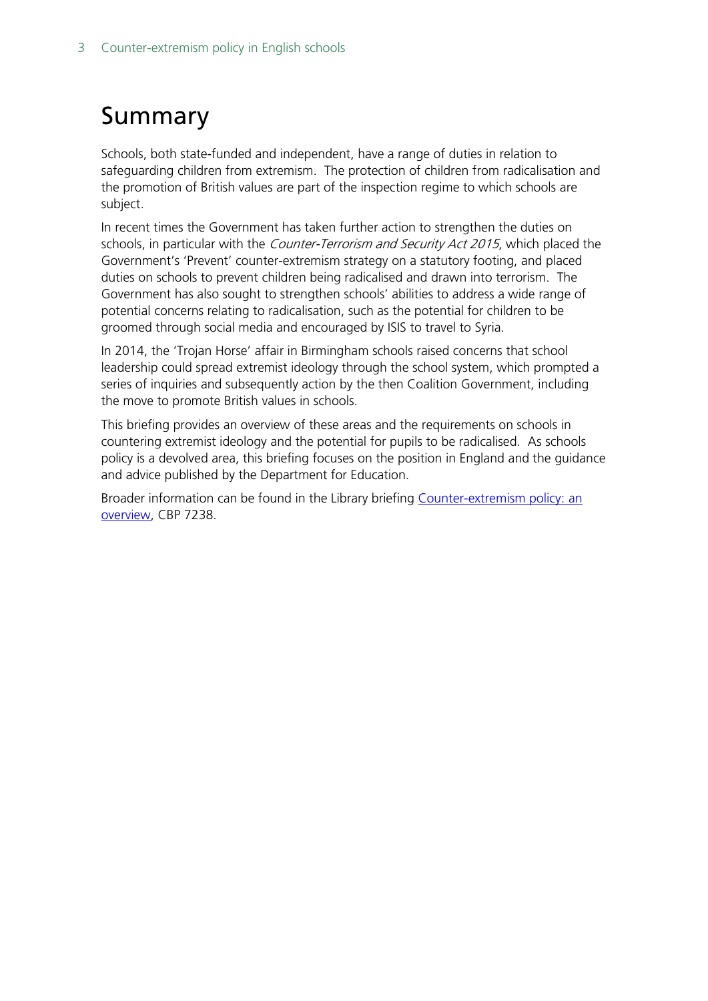# <span id="page-2-0"></span>Summary

Schools, both state-funded and independent, have a range of duties in relation to safeguarding children from extremism. The protection of children from radicalisation and the promotion of British values are part of the inspection regime to which schools are subject.

In recent times the Government has taken further action to strengthen the duties on schools, in particular with the *Counter-Terrorism and Security Act 2015*, which placed the Government's 'Prevent' counter-extremism strategy on a statutory footing, and placed duties on schools to prevent children being radicalised and drawn into terrorism. The Government has also sought to strengthen schools' abilities to address a wide range of potential concerns relating to radicalisation, such as the potential for children to be groomed through social media and encouraged by ISIS to travel to Syria.

In 2014, the 'Trojan Horse' affair in Birmingham schools raised concerns that school leadership could spread extremist ideology through the school system, which prompted a series of inquiries and subsequently action by the then Coalition Government, including the move to promote British values in schools.

This briefing provides an overview of these areas and the requirements on schools in countering extremist ideology and the potential for pupils to be radicalised. As schools policy is a devolved area, this briefing focuses on the position in England and the guidance and advice published by the Department for Education.

Broader information can be found in the Library briefing Counter-extremism policy: an [overview,](http://researchbriefings.parliament.uk/ResearchBriefing/Summary/CBP-7238) CBP 7238.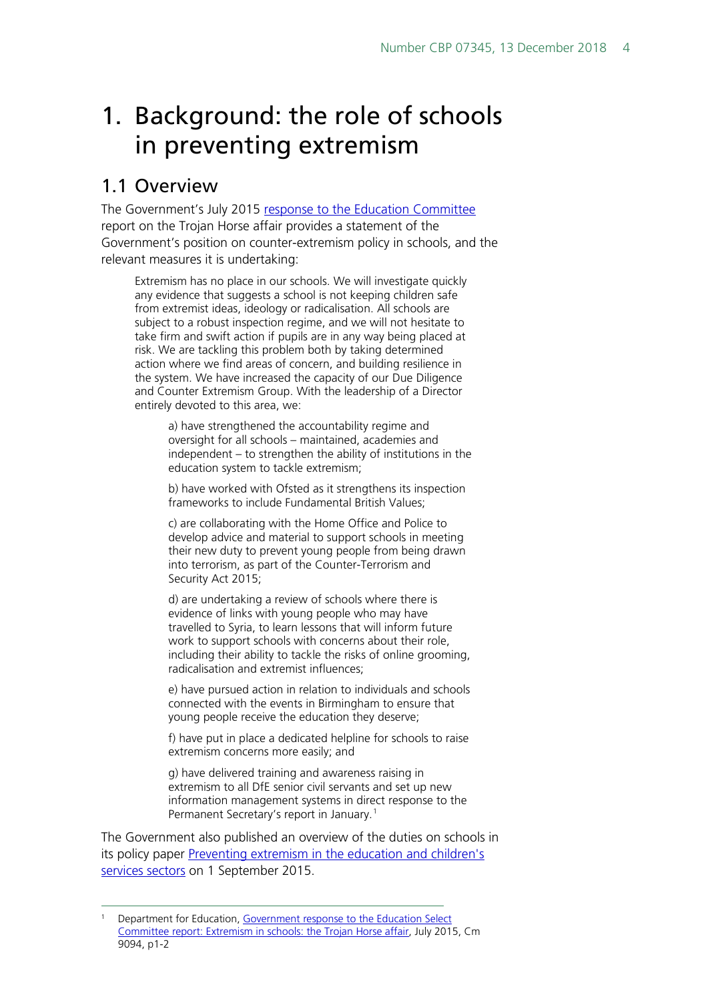# <span id="page-3-0"></span>1. Background: the role of schools in preventing extremism

# <span id="page-3-1"></span>1.1 Overview

The Government's July 2015 [response to the Education Committee](https://www.gov.uk/government/uploads/system/uploads/attachment_data/file/438887/50288_Trojan_Horse_affair_Accessible_v3.pdf) report on the Trojan Horse affair provides a statement of the Government's position on counter-extremism policy in schools, and the relevant measures it is undertaking:

Extremism has no place in our schools. We will investigate quickly any evidence that suggests a school is not keeping children safe from extremist ideas, ideology or radicalisation. All schools are subject to a robust inspection regime, and we will not hesitate to take firm and swift action if pupils are in any way being placed at risk. We are tackling this problem both by taking determined action where we find areas of concern, and building resilience in the system. We have increased the capacity of our Due Diligence and Counter Extremism Group. With the leadership of a Director entirely devoted to this area, we:

a) have strengthened the accountability regime and oversight for all schools – maintained, academies and independent – to strengthen the ability of institutions in the education system to tackle extremism;

b) have worked with Ofsted as it strengthens its inspection frameworks to include Fundamental British Values;

c) are collaborating with the Home Office and Police to develop advice and material to support schools in meeting their new duty to prevent young people from being drawn into terrorism, as part of the Counter-Terrorism and Security Act 2015;

d) are undertaking a review of schools where there is evidence of links with young people who may have travelled to Syria, to learn lessons that will inform future work to support schools with concerns about their role, including their ability to tackle the risks of online grooming, radicalisation and extremist influences;

e) have pursued action in relation to individuals and schools connected with the events in Birmingham to ensure that young people receive the education they deserve;

f) have put in place a dedicated helpline for schools to raise extremism concerns more easily; and

g) have delivered training and awareness raising in extremism to all DfE senior civil servants and set up new information management systems in direct response to the Permanent Secretary's report in January.<sup>[1](#page-3-2)</sup>

The Government also published an overview of the duties on schools in its policy paper Preventing extremism in the education and children's [services sectors](https://www.gov.uk/government/publications/preventing-extremism-in-schools-and-childrens-services/preventing-extremism-in-the-education-and-childrens-services-sectors) on 1 September 2015.

<span id="page-3-2"></span> <sup>1</sup> Department for Education, [Government response to the Education Select](https://www.gov.uk/government/uploads/system/uploads/attachment_data/file/438887/50288_Trojan_Horse_affair_Accessible_v3.pdf)  [Committee report: Extremism in schools: the Trojan Horse affair,](https://www.gov.uk/government/uploads/system/uploads/attachment_data/file/438887/50288_Trojan_Horse_affair_Accessible_v3.pdf) July 2015, Cm 9094, p1-2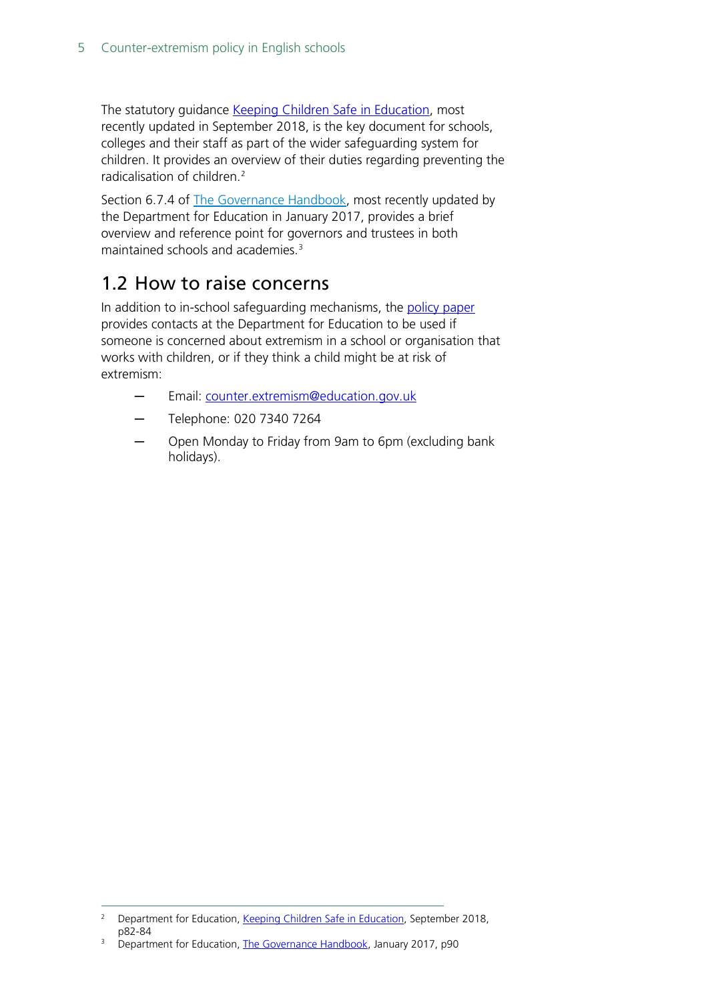The statutory guidance [Keeping Children Safe in Education,](https://www.gov.uk/government/publications/keeping-children-safe-in-education--2) most recently updated in September 2018, is the key document for schools, colleges and their staff as part of the wider safeguarding system for children. It provides an overview of their duties regarding preventing the radicalisation of children.[2](#page-4-1)

Section 6.7.4 of [The Governance Handbook,](https://www.gov.uk/government/publications/governance-handbook) most recently updated by the Department for Education in January 2017, provides a brief overview and reference point for governors and trustees in both maintained schools and academies. [3](#page-4-2)

# <span id="page-4-0"></span>1.2 How to raise concerns

In addition to in-school safeguarding mechanisms, the [policy paper](https://www.gov.uk/government/publications/preventing-extremism-in-schools-and-childrens-services/preventing-extremism-in-the-education-and-childrens-services-sectors) provides contacts at the Department for Education to be used if someone is concerned about extremism in a school or organisation that works with children, or if they think a child might be at risk of extremism:

- Email: [counter.extremism@education.gov.uk](mailto:counter.extremism@education.gov.uk)
- ─ Telephone: 020 7340 7264
- Open Monday to Friday from 9am to 6pm (excluding bank holidays).

<span id="page-4-1"></span><sup>&</sup>lt;sup>2</sup> Department for Education, [Keeping Children Safe in Education,](https://assets.publishing.service.gov.uk/government/uploads/system/uploads/attachment_data/file/741314/Keeping_Children_Safe_in_Education__3_September_2018_14.09.18.pdf) September 2018, p82-84

<span id="page-4-2"></span><sup>&</sup>lt;sup>3</sup> Department for Education, [The Governance Handbook,](https://www.gov.uk/government/publications/governance-handbook) January 2017, p90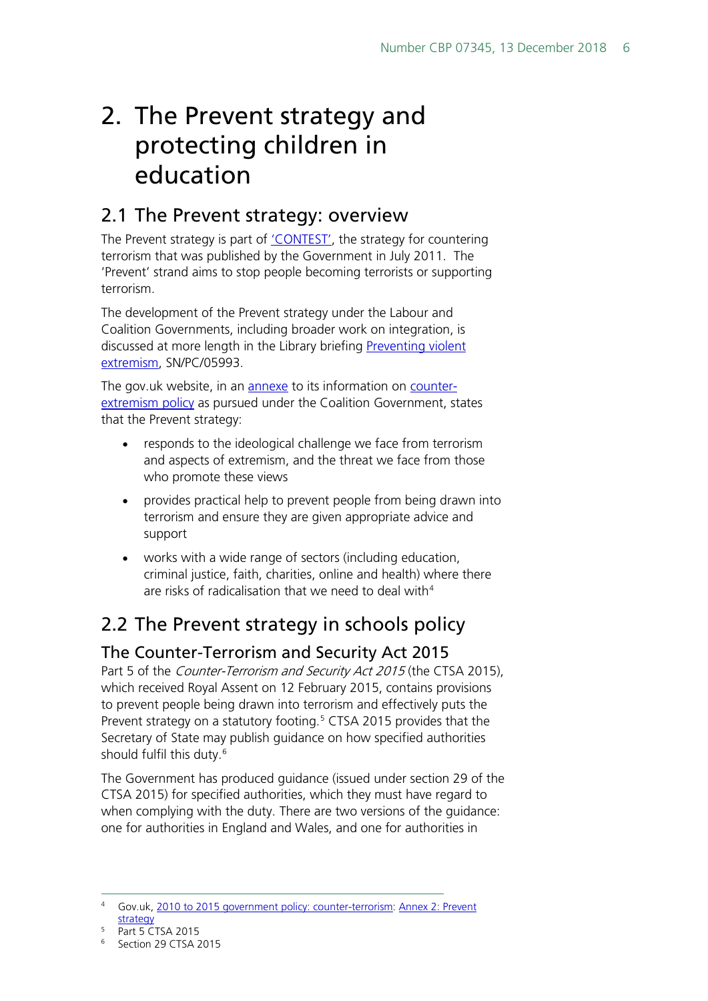# <span id="page-5-0"></span>2. The Prevent strategy and protecting children in education

# <span id="page-5-1"></span>2.1 The Prevent strategy: overview

The Prevent strategy is part of ['CONTEST',](https://www.gov.uk/government/uploads/system/uploads/attachment_data/file/97994/contest-summary.pdf) the strategy for countering terrorism that was published by the Government in July 2011. The 'Prevent' strand aims to stop people becoming terrorists or supporting terrorism.

The development of the Prevent strategy under the Labour and Coalition Governments, including broader work on integration, is discussed at more length in the Library briefing [Preventing violent](http://www.parliament.uk/business/publications/research/briefing-papers/SN05993/preventing-violent-extremism)  [extremism,](http://www.parliament.uk/business/publications/research/briefing-papers/SN05993/preventing-violent-extremism) SN/PC/05993.

The gov.uk website, in an [annexe](https://www.gov.uk/government/publications/2010-to-2015-government-policy-counter-terrorism/2010-to-2015-government-policy-counter-terrorism#appendix-2-prevent) to its information on [counter](https://www.gov.uk/government/publications/2010-to-2015-government-policy-counter-terrorism/2010-to-2015-government-policy-counter-terrorism)[extremism policy](https://www.gov.uk/government/publications/2010-to-2015-government-policy-counter-terrorism/2010-to-2015-government-policy-counter-terrorism) as pursued under the Coalition Government, states that the Prevent strategy:

- responds to the ideological challenge we face from terrorism and aspects of extremism, and the threat we face from those who promote these views
- provides practical help to prevent people from being drawn into terrorism and ensure they are given appropriate advice and support
- works with a wide range of sectors (including education, criminal justice, faith, charities, online and health) where there are risks of radicalisation that we need to deal with<sup>[4](#page-5-4)</sup>

# <span id="page-5-2"></span>2.2 The Prevent strategy in schools policy

## <span id="page-5-3"></span>The Counter-Terrorism and Security Act 2015

Part 5 of the *Counter-Terrorism and Security Act 2015* (the CTSA 2015). which received Royal Assent on 12 February 2015, contains provisions to prevent people being drawn into terrorism and effectively puts the Prevent strategy on a statutory footing. [5](#page-5-5) CTSA 2015 provides that the Secretary of State may publish guidance on how specified authorities should fulfil this duty. [6](#page-5-6)

The Government has produced guidance (issued under section 29 of the CTSA 2015) for specified authorities, which they must have regard to when complying with the duty. There are two versions of the guidance: one for authorities in England and Wales, and one for authorities in

<span id="page-5-4"></span>Gov.uk, [2010 to 2015 government policy: counter-terrorism:](https://www.gov.uk/government/publications/2010-to-2015-government-policy-counter-terrorism/2010-to-2015-government-policy-counter-terrorism) Annex 2: Prevent

<sup>&</sup>lt;u>[strategy](https://www.gov.uk/government/publications/2010-to-2015-government-policy-counter-terrorism/2010-to-2015-government-policy-counter-terrorism#appendix-2-prevent)</u><br>Part 5 CTSA 2015

<span id="page-5-6"></span><span id="page-5-5"></span> $5$  Part 5 CTSA 2015<br> $6$  Section 29 CTSA 2015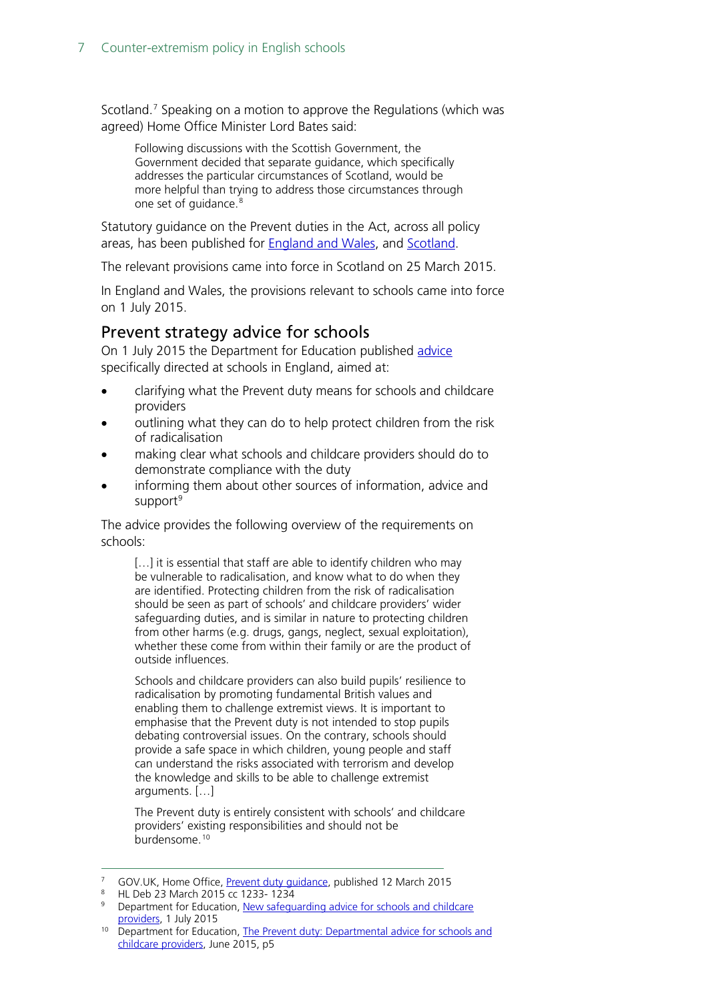Scotland.<sup>[7](#page-6-1)</sup> Speaking on a motion to approve the Regulations (which was agreed) Home Office Minister Lord Bates said:

Following discussions with the Scottish Government, the Government decided that separate guidance, which specifically addresses the particular circumstances of Scotland, would be more helpful than trying to address those circumstances through one set of guidance.<sup>[8](#page-6-2)</sup>

Statutory guidance on the Prevent duties in the Act, across all policy areas, has been published for [England and Wales,](https://www.gov.uk/government/uploads/system/uploads/attachment_data/file/445977/3799_Revised_Prevent_Duty_Guidance__England_Wales_V2-Interactive.pdf) and [Scotland.](https://www.gov.uk/government/uploads/system/uploads/attachment_data/file/445978/3799_Revised_Prevent_Duty_Guidance__Scotland_V2.pdf)

The relevant provisions came into force in Scotland on 25 March 2015.

In England and Wales, the provisions relevant to schools came into force on 1 July 2015.

### <span id="page-6-0"></span>Prevent strategy advice for schools

On 1 July 2015 the Department for Education published [advice](https://www.gov.uk/government/news/new-safeguarding-advice-for-schools-and-childcare-providers) specifically directed at schools in England, aimed at:

- clarifying what the Prevent duty means for schools and childcare providers
- outlining what they can do to help protect children from the risk of radicalisation
- making clear what schools and childcare providers should do to demonstrate compliance with the duty
- informing them about other sources of information, advice and support<sup>[9](#page-6-3)</sup>

The advice provides the following overview of the requirements on schools:

[...] it is essential that staff are able to identify children who may be vulnerable to radicalisation, and know what to do when they are identified. Protecting children from the risk of radicalisation should be seen as part of schools' and childcare providers' wider safeguarding duties, and is similar in nature to protecting children from other harms (e.g. drugs, gangs, neglect, sexual exploitation), whether these come from within their family or are the product of outside influences.

Schools and childcare providers can also build pupils' resilience to radicalisation by promoting fundamental British values and enabling them to challenge extremist views. It is important to emphasise that the Prevent duty is not intended to stop pupils debating controversial issues. On the contrary, schools should provide a safe space in which children, young people and staff can understand the risks associated with terrorism and develop the knowledge and skills to be able to challenge extremist arguments. […]

The Prevent duty is entirely consistent with schools' and childcare providers' existing responsibilities and should not be burdensome. [10](#page-6-4)

<span id="page-6-2"></span><span id="page-6-1"></span>8 HL Deb 23 March 2015 cc 1233-1234

GOV.UK, Home Office, [Prevent duty guidance,](https://www.gov.uk/government/publications/prevent-duty-guidance) published 12 March 2015

<span id="page-6-3"></span><sup>9</sup> Department for Education, New safeguarding advice for schools and childcare [providers,](https://www.gov.uk/government/news/new-safeguarding-advice-for-schools-and-childcare-providers) 1 July 2015

<span id="page-6-4"></span><sup>&</sup>lt;sup>10</sup> Department for Education, The Prevent duty: Departmental advice for schools and [childcare providers,](https://www.gov.uk/government/uploads/system/uploads/attachment_data/file/439598/prevent-duty-departmental-advice-v6.pdf) June 2015, p5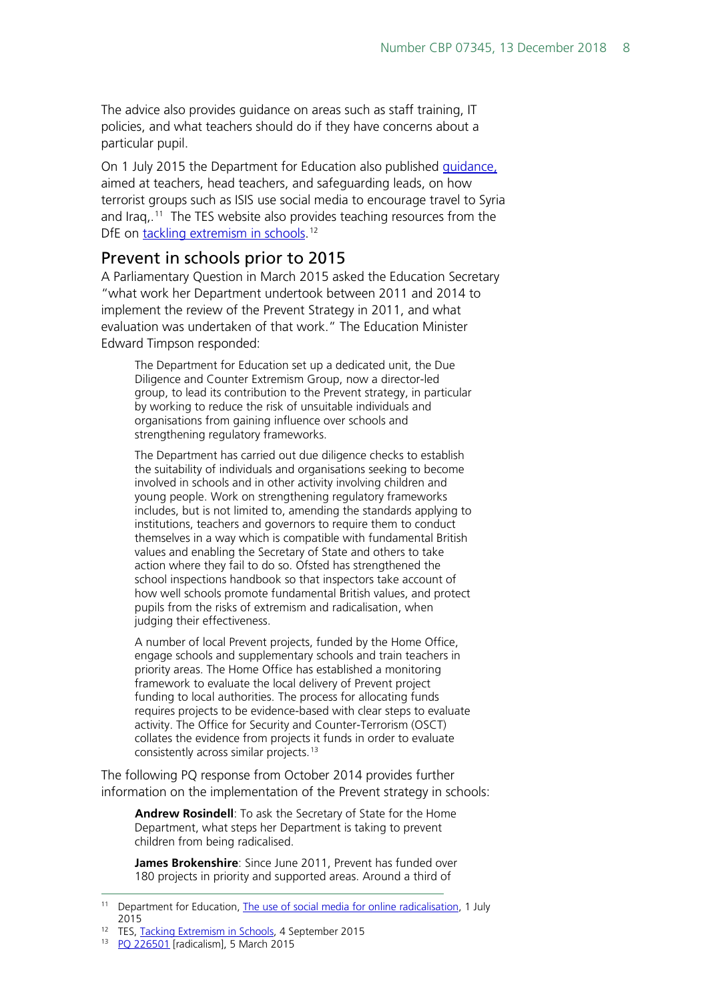The advice also provides guidance on areas such as staff training, IT policies, and what teachers should do if they have concerns about a particular pupil.

On 1 July 2015 the Department for Education also published [guidance,](https://www.gov.uk/government/publications/the-use-of-social-media-for-online-radicalisation) aimed at teachers, head teachers, and safeguarding leads, on how terrorist groups such as ISIS use social media to encourage travel to Syria and Irag,<sup>[11](#page-7-1)</sup> The TES website also provides teaching resources from the DfE on <u>tackling extremism in schools</u>. <sup>[12](#page-7-2)</sup>

### <span id="page-7-0"></span>Prevent in schools prior to 2015

A Parliamentary Question in March 2015 asked the Education Secretary "what work her Department undertook between 2011 and 2014 to implement the review of the Prevent Strategy in 2011, and what evaluation was undertaken of that work." The Education Minister Edward Timpson responded:

The Department for Education set up a dedicated unit, the Due Diligence and Counter Extremism Group, now a director-led group, to lead its contribution to the Prevent strategy, in particular by working to reduce the risk of unsuitable individuals and organisations from gaining influence over schools and strengthening regulatory frameworks.

The Department has carried out due diligence checks to establish the suitability of individuals and organisations seeking to become involved in schools and in other activity involving children and young people. Work on strengthening regulatory frameworks includes, but is not limited to, amending the standards applying to institutions, teachers and governors to require them to conduct themselves in a way which is compatible with fundamental British values and enabling the Secretary of State and others to take action where they fail to do so. Ofsted has strengthened the school inspections handbook so that inspectors take account of how well schools promote fundamental British values, and protect pupils from the risks of extremism and radicalisation, when judging their effectiveness.

A number of local Prevent projects, funded by the Home Office, engage schools and supplementary schools and train teachers in priority areas. The Home Office has established a monitoring framework to evaluate the local delivery of Prevent project funding to local authorities. The process for allocating funds requires projects to be evidence-based with clear steps to evaluate activity. The Office for Security and Counter-Terrorism (OSCT) collates the evidence from projects it funds in order to evaluate consistently across similar projects.[13](#page-7-3)

The following PQ response from October 2014 provides further information on the implementation of the Prevent strategy in schools:

**Andrew Rosindell**: To ask the Secretary of State for the Home Department, what steps her Department is taking to prevent children from being radicalised.

**James Brokenshire**: Since June 2011, Prevent has funded over 180 projects in priority and supported areas. Around a third of

<span id="page-7-1"></span><sup>&</sup>lt;sup>11</sup> Department for Education, [The use of social media for online radicalisation,](https://www.gov.uk/government/publications/the-use-of-social-media-for-online-radicalisation) 1 July 2015

<span id="page-7-2"></span><sup>12</sup> TES, [Tacking Extremism in Schools,](https://www.tes.com/teaching-resource/tackling-extremism-in-schools-11105440) 4 September 2015

<span id="page-7-3"></span><sup>13</sup> [PQ 226501](http://www.parliament.uk/written-questions-answers-statements/written-question/commons/2015-03-05/226501) [radicalism], 5 March 2015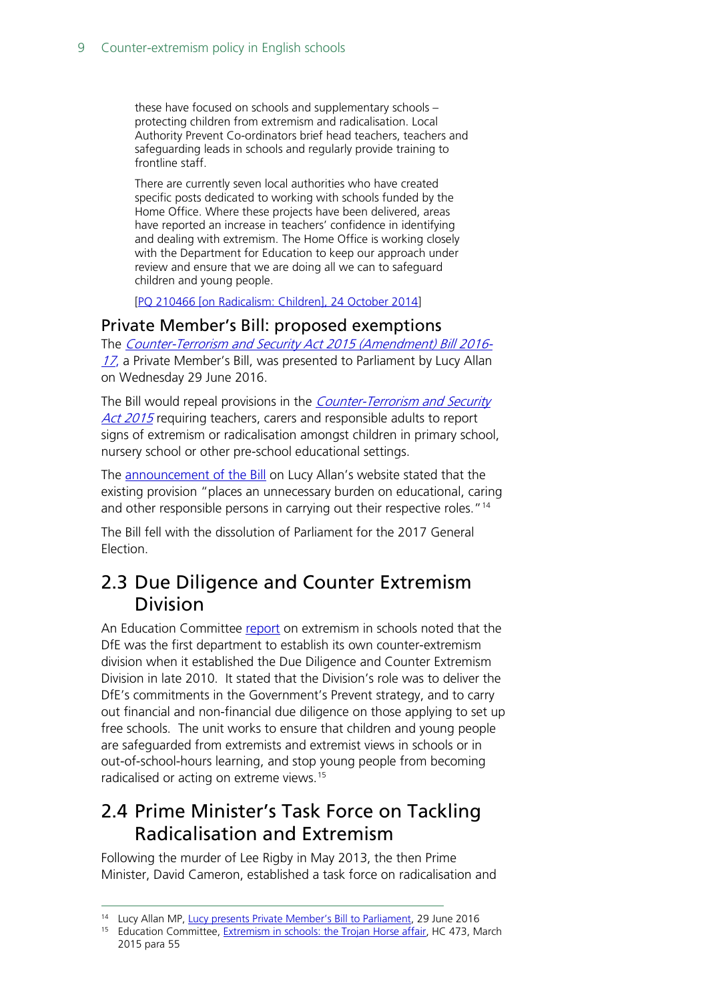these have focused on schools and supplementary schools – protecting children from extremism and radicalisation. Local Authority Prevent Co-ordinators brief head teachers, teachers and safeguarding leads in schools and regularly provide training to frontline staff.

There are currently seven local authorities who have created specific posts dedicated to working with schools funded by the Home Office. Where these projects have been delivered, areas have reported an increase in teachers' confidence in identifying and dealing with extremism. The Home Office is working closely with the Department for Education to keep our approach under review and ensure that we are doing all we can to safeguard children and young people.

[\[PQ 210466 \[on Radicalism: Children\], 24 October 2014\]](http://www.parliament.uk/written-questions-answers-statements/written-question/commons/2014-10-14/210466)

#### <span id="page-8-0"></span>Private Member's Bill: proposed exemptions

The [Counter-Terrorism and Security Act 2015 \(Amendment\) Bill 2016-](http://services.parliament.uk/bills/2016-17/counterterrorismandsecurityact2015amendment.html) [17](http://services.parliament.uk/bills/2016-17/counterterrorismandsecurityact2015amendment.html), a Private Member's Bill, was presented to Parliament by Lucy Allan on Wednesday 29 June 2016.

The Bill would repeal provisions in the *Counter-Terrorism and Security* [Act 2015](http://www.legislation.gov.uk/ukpga/2015/6/contents/enacted) requiring teachers, carers and responsible adults to report signs of extremism or radicalisation amongst children in primary school, nursery school or other pre-school educational settings.

The [announcement of the Bill](https://www.lucyallan.com/news/lucy-presents-private-member%E2%80%99s-bill-parliament) on Lucy Allan's website stated that the existing provision "places an unnecessary burden on educational, caring and other responsible persons in carrying out their respective roles."<sup>14</sup>

The Bill fell with the dissolution of Parliament for the 2017 General Election.

## <span id="page-8-1"></span>2.3 Due Diligence and Counter Extremism Division

An Education Committee [report](http://www.publications.parliament.uk/pa/cm201415/cmselect/cmeduc/473/473.pdf) on extremism in schools noted that the DfE was the first department to establish its own counter-extremism division when it established the Due Diligence and Counter Extremism Division in late 2010. It stated that the Division's role was to deliver the DfE's commitments in the Government's Prevent strategy, and to carry out financial and non-financial due diligence on those applying to set up free schools. The unit works to ensure that children and young people are safeguarded from extremists and extremist views in schools or in out-of-school-hours learning, and stop young people from becoming radicalised or acting on extreme views.[15](#page-8-4)

# <span id="page-8-2"></span>2.4 Prime Minister's Task Force on Tackling Radicalisation and Extremism

Following the murder of Lee Rigby in May 2013, the then Prime Minister, David Cameron, established a task force on radicalisation and

<sup>&</sup>lt;sup>14</sup> Lucy Allan MP, [Lucy presents Private Member's Bill to Parliament,](https://www.lucyallan.com/news/lucy-presents-private-member%E2%80%99s-bill-parliament) 29 June 2016

<span id="page-8-4"></span><span id="page-8-3"></span><sup>&</sup>lt;sup>15</sup> Education Committee, [Extremism in schools: the Trojan Horse affair,](http://www.publications.parliament.uk/pa/cm201415/cmselect/cmeduc/473/473.pdf) HC 473, March 2015 para 55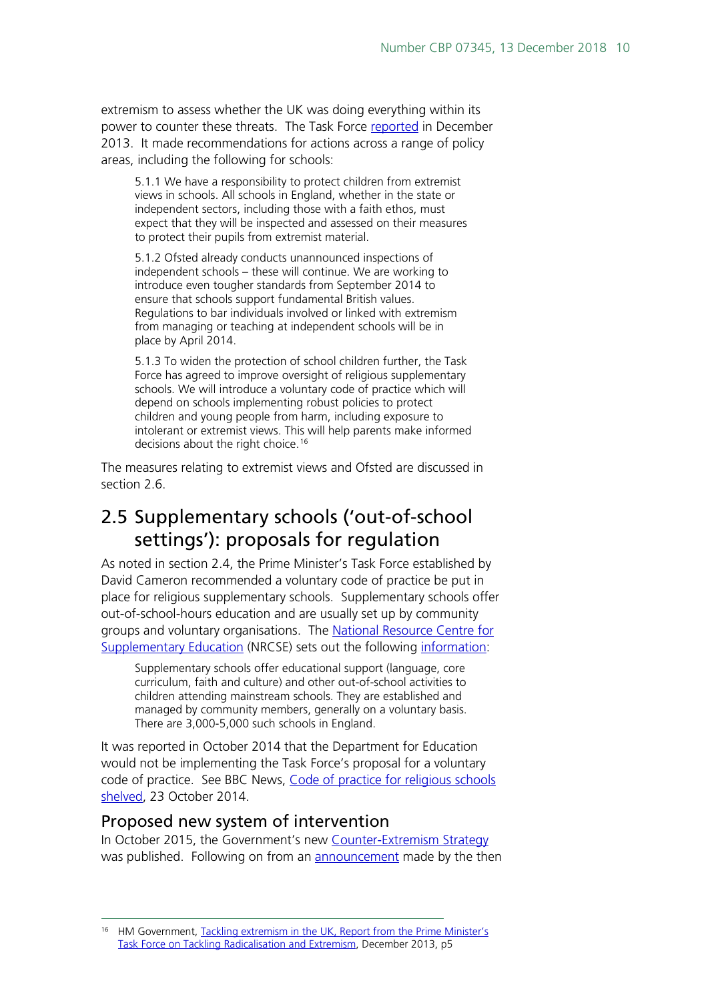extremism to assess whether the UK was doing everything within its power to counter these threats. The Task Force [reported](https://www.gov.uk/government/uploads/system/uploads/attachment_data/file/263181/ETF_FINAL.pdf) in December 2013. It made recommendations for actions across a range of policy areas, including the following for schools:

5.1.1 We have a responsibility to protect children from extremist views in schools. All schools in England, whether in the state or independent sectors, including those with a faith ethos, must expect that they will be inspected and assessed on their measures to protect their pupils from extremist material.

5.1.2 Ofsted already conducts unannounced inspections of independent schools – these will continue. We are working to introduce even tougher standards from September 2014 to ensure that schools support fundamental British values. Regulations to bar individuals involved or linked with extremism from managing or teaching at independent schools will be in place by April 2014.

5.1.3 To widen the protection of school children further, the Task Force has agreed to improve oversight of religious supplementary schools. We will introduce a voluntary code of practice which will depend on schools implementing robust policies to protect children and young people from harm, including exposure to intolerant or extremist views. This will help parents make informed decisions about the right choice. [16](#page-9-2)

The measures relating to extremist views and Ofsted are discussed in section 2.6.

## <span id="page-9-0"></span>2.5 Supplementary schools ('out-of-school settings'): proposals for regulation

As noted in section 2.4, the Prime Minister's Task Force established by David Cameron recommended a voluntary code of practice be put in place for religious supplementary schools. Supplementary schools offer out-of-school-hours education and are usually set up by community groups and voluntary organisations. The National Resource Centre for [Supplementary Education](http://www.supplementaryeducation.org.uk/) (NRCSE) sets out the following [information:](http://www.supplementaryeducation.org.uk/supplementary-education-the-nrc/)

Supplementary schools offer educational support (language, core curriculum, faith and culture) and other out-of-school activities to children attending mainstream schools. They are established and managed by community members, generally on a voluntary basis. There are 3,000-5,000 such schools in England.

It was reported in October 2014 that the Department for Education would not be implementing the Task Force's proposal for a voluntary code of practice. See BBC News, [Code of practice for religious schools](http://www.bbc.co.uk/news/uk-29729669)  [shelved,](http://www.bbc.co.uk/news/uk-29729669) 23 October 2014.

### <span id="page-9-1"></span>Proposed new system of intervention

In October 2015, the Government's new [Counter-Extremism Strategy](https://www.gov.uk/government/publications/counter-extremism-strategy) was published. Following on from an [announcement](http://www.bbc.co.uk/news/education-34464137) made by the then

<span id="page-9-2"></span><sup>&</sup>lt;sup>16</sup> HM Government, Tackling extremism in the UK, Report from the Prime Minister's [Task Force on Tackling Radicalisation and Extremism,](https://www.gov.uk/government/uploads/system/uploads/attachment_data/file/263181/ETF_FINAL.pdf) December 2013, p5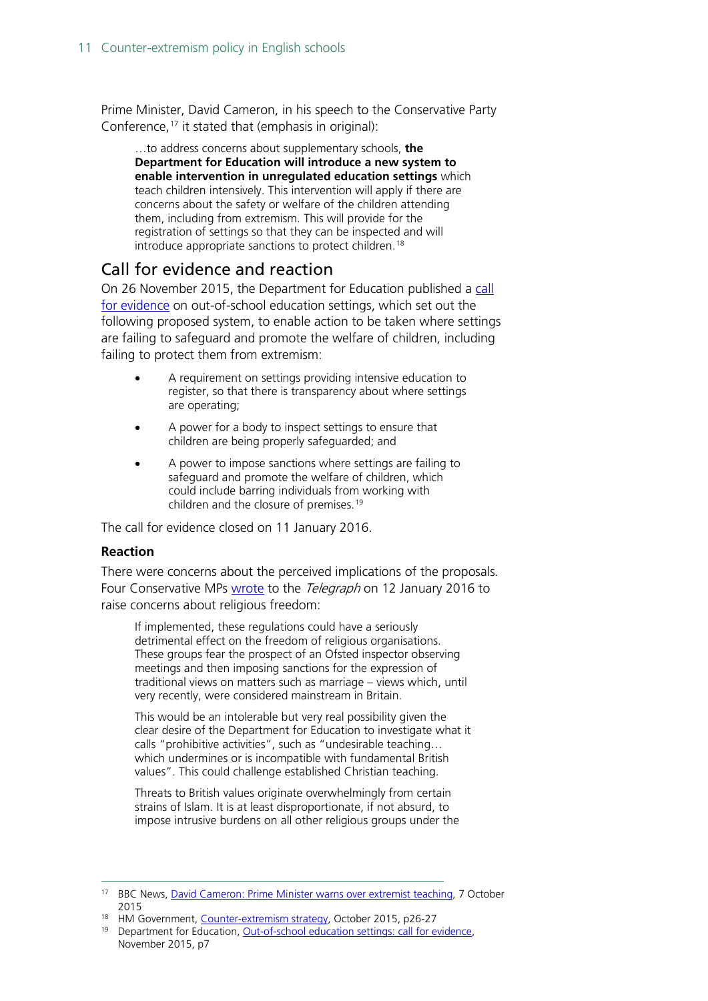Prime Minister, David Cameron, in his speech to the Conservative Party Conference,<sup>[17](#page-10-1)</sup> it stated that (emphasis in original):

…to address concerns about supplementary schools, **the Department for Education will introduce a new system to enable intervention in unregulated education settings** which teach children intensively. This intervention will apply if there are concerns about the safety or welfare of the children attending them, including from extremism. This will provide for the registration of settings so that they can be inspected and will introduce appropriate sanctions to protect children.<sup>[18](#page-10-2)</sup>

### <span id="page-10-0"></span>Call for evidence and reaction

On 26 November 2015, the Department for Education published a call [for evidence](https://www.gov.uk/government/uploads/system/uploads/attachment_data/file/480133/out_of_school_education_settings_call_for_evidence.pdf) on out-of-school education settings, which set out the following proposed system, to enable action to be taken where settings are failing to safeguard and promote the welfare of children, including failing to protect them from extremism:

- A requirement on settings providing intensive education to register, so that there is transparency about where settings are operating;
- A power for a body to inspect settings to ensure that children are being properly safeguarded; and
- A power to impose sanctions where settings are failing to safeguard and promote the welfare of children, which could include barring individuals from working with children and the closure of premises.<sup>[19](#page-10-3)</sup>

The call for evidence closed on 11 January 2016.

#### **Reaction**

There were concerns about the perceived implications of the proposals. Four Conservative MPs [wrote](http://www.telegraph.co.uk/comment/letters/12093077/Letters-The-BMA-has-become-a-politicised-trade-union-that-puts-patient-care-last.html) to the Telegraph on 12 January 2016 to raise concerns about religious freedom:

If implemented, these regulations could have a seriously detrimental effect on the freedom of religious organisations. These groups fear the prospect of an Ofsted inspector observing meetings and then imposing sanctions for the expression of traditional views on matters such as marriage – views which, until very recently, were considered mainstream in Britain.

This would be an intolerable but very real possibility given the clear desire of the Department for Education to investigate what it calls "prohibitive activities", such as "undesirable teaching… which undermines or is incompatible with fundamental British values". This could challenge established Christian teaching.

Threats to British values originate overwhelmingly from certain strains of Islam. It is at least disproportionate, if not absurd, to impose intrusive burdens on all other religious groups under the

<span id="page-10-1"></span><sup>&</sup>lt;sup>17</sup> BBC News, [David Cameron: Prime Minister warns over extremist teaching,](http://www.bbc.co.uk/news/education-34464137) 7 October 2015

<span id="page-10-2"></span><sup>&</sup>lt;sup>18</sup> HM Government, [Counter-extremism strategy,](https://www.gov.uk/government/uploads/system/uploads/attachment_data/file/469171/51774_Cm9145_Final.pdf) October 2015, p26-27

<span id="page-10-3"></span><sup>&</sup>lt;sup>19</sup> Department for Education, [Out-of-school education settings: call for evidence,](https://www.gov.uk/government/uploads/system/uploads/attachment_data/file/480133/out_of_school_education_settings_call_for_evidence.pdf) November 2015, p7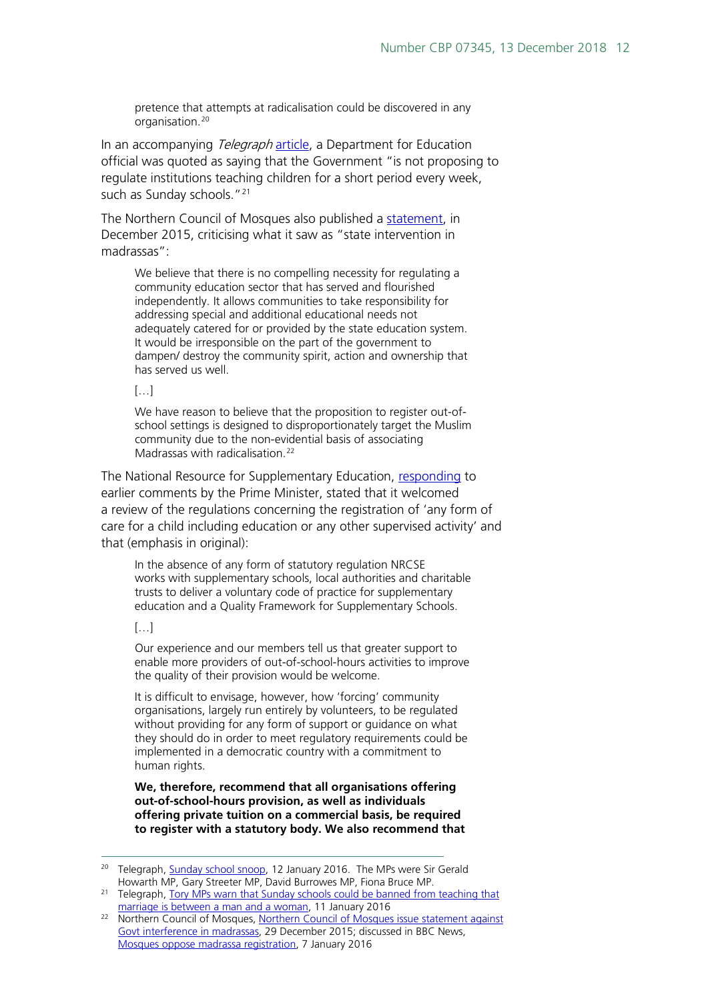pretence that attempts at radicalisation could be discovered in any organisation.<sup>[20](#page-11-0)</sup>

In an accompanying Telegraph [article,](http://www.telegraph.co.uk/news/politics/conservative/12093949/Tory-MPs-warn-that-Sunday-schools-could-be-banned-from-teaching-that-marriage-is-between-a-man-and-a-woman.html) a Department for Education official was quoted as saying that the Government "is not proposing to regulate institutions teaching children for a short period every week, such as Sunday schools."<sup>[21](#page-11-1)</sup>

The Northern Council of Mosques also published a [statement,](http://5pillarsuk.com/2015/12/29/northern-council-of-mosques-issue-statement-against-govt-interference-in-madrassas/) in December 2015, criticising what it saw as "state intervention in madrassas":

We believe that there is no compelling necessity for regulating a community education sector that has served and flourished independently. It allows communities to take responsibility for addressing special and additional educational needs not adequately catered for or provided by the state education system. It would be irresponsible on the part of the government to dampen/ destroy the community spirit, action and ownership that has served us well.

 $[...]$ 

We have reason to believe that the proposition to register out-ofschool settings is designed to disproportionately target the Muslim community due to the non-evidential basis of associating Madrassas with radicalisation.<sup>[22](#page-11-2)</sup>

The National Resource for Supplementary Education, [responding](http://www.supplementaryeducation.org.uk/inspection-of-supplementary-schools/) to earlier comments by the Prime Minister, stated that it welcomed a review of the regulations concerning the registration of 'any form of care for a child including education or any other supervised activity' and that (emphasis in original):

In the absence of any form of statutory regulation NRCSE works with supplementary schools, local authorities and charitable trusts to deliver a [voluntary code of practice for supplementary](http://www.supplementaryeducation.org.uk/quality-framework/)  education and a [Quality Framework for Supplementary Schools.](http://www.supplementaryeducation.org.uk/quality-framework/)

#### […]

Our experience and our members tell us that greater support to enable more providers of out-of-school-hours activities to improve the quality of their provision would be welcome.

It is difficult to envisage, however, how 'forcing' community organisations, largely run entirely by volunteers, to be regulated without providing for any form of support or guidance on what they should do in order to meet regulatory requirements could be implemented in a democratic country with a commitment to human rights.

**We, therefore, recommend that all organisations offering out-of-school-hours provision, as well as individuals offering private tuition on a commercial basis, be required to register with a statutory body. We also recommend that** 

<span id="page-11-0"></span><sup>&</sup>lt;sup>20</sup> Telegraph, [Sunday school snoop,](http://www.telegraph.co.uk/comment/letters/12093077/Letters-The-BMA-has-become-a-politicised-trade-union-that-puts-patient-care-last.html) 12 January 2016. The MPs were Sir Gerald Howarth MP, Gary Streeter MP, David Burrowes MP, Fiona Bruce MP.

<span id="page-11-1"></span><sup>&</sup>lt;sup>21</sup> Telegraph, Tory MPs warn that Sunday schools could be banned from teaching that [marriage is between a man and a woman,](http://www.telegraph.co.uk/news/politics/conservative/12093949/Tory-MPs-warn-that-Sunday-schools-could-be-banned-from-teaching-that-marriage-is-between-a-man-and-a-woman.html) 11 January 2016

<span id="page-11-2"></span><sup>&</sup>lt;sup>22</sup> Northern Council of Mosques, Northern Council of Mosques issue statement against [Govt interference in madrassas,](http://5pillarsuk.com/2015/12/29/northern-council-of-mosques-issue-statement-against-govt-interference-in-madrassas/) 29 December 2015; discussed in BBC News, [Mosques oppose madrassa registration,](http://www.bbc.co.uk/news/education-35252469) 7 January 2016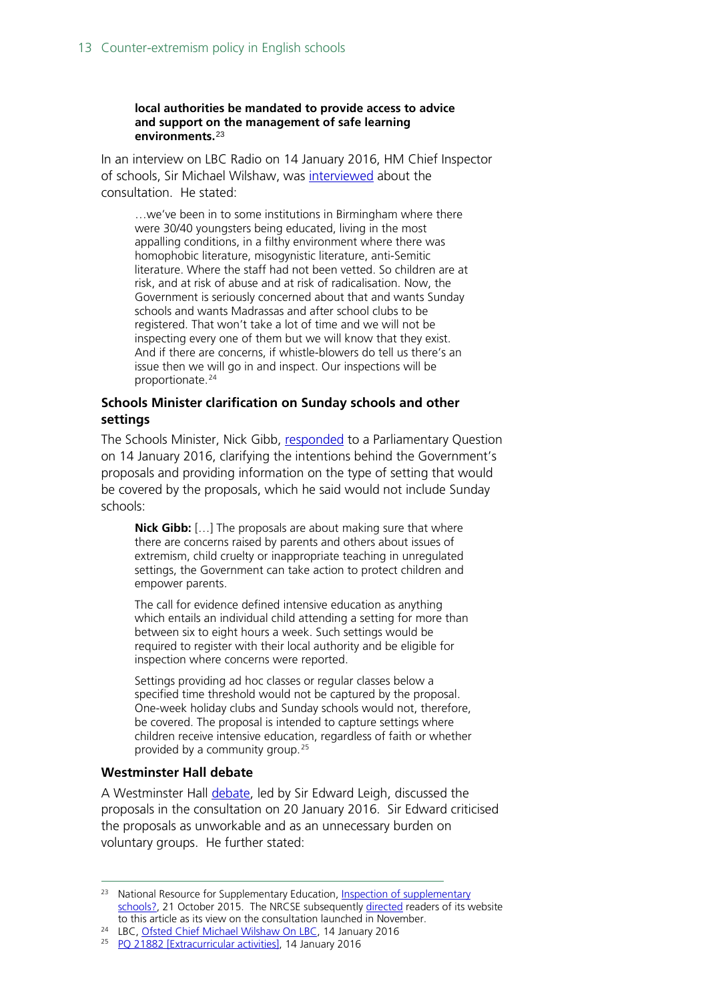#### **local authorities be mandated to provide access to advice and support on the management of safe learning environments.**[23](#page-12-0)

In an interview on LBC Radio on 14 January 2016, HM Chief Inspector of schools, Sir Michael Wilshaw, was [interviewed](http://www.lbc.co.uk/ofsted-chief-michael-wilshaw-on-lbc-watch-from-9am-123126) about the consultation. He stated:

…we've been in to some institutions in Birmingham where there were 30/40 youngsters being educated, living in the most appalling conditions, in a filthy environment where there was homophobic literature, misogynistic literature, anti-Semitic literature. Where the staff had not been vetted. So children are at risk, and at risk of abuse and at risk of radicalisation. Now, the Government is seriously concerned about that and wants Sunday schools and wants Madrassas and after school clubs to be registered. That won't take a lot of time and we will not be inspecting every one of them but we will know that they exist. And if there are concerns, if whistle-blowers do tell us there's an issue then we will go in and inspect. Our inspections will be proportionate.<sup>[24](#page-12-1)</sup>

#### **Schools Minister clarification on Sunday schools and other settings**

The Schools Minister, Nick Gibb, [responded](http://www.parliament.uk/written-questions-answers-statements/written-question/commons/2016-01-11/21882) to a Parliamentary Question on 14 January 2016, clarifying the intentions behind the Government's proposals and providing information on the type of setting that would be covered by the proposals, which he said would not include Sunday schools:

**Nick Gibb:** […] The proposals are about making sure that where there are concerns raised by parents and others about issues of extremism, child cruelty or inappropriate teaching in unregulated settings, the Government can take action to protect children and empower parents.

The call for evidence defined intensive education as anything which entails an individual child attending a setting for more than between six to eight hours a week. Such settings would be required to register with their local authority and be eligible for inspection where concerns were reported.

Settings providing ad hoc classes or regular classes below a specified time threshold would not be captured by the proposal. One-week holiday clubs and Sunday schools would not, therefore, be covered. The proposal is intended to capture settings where children receive intensive education, regardless of faith or whether provided by a community group.<sup>[25](#page-12-2)</sup>

#### **Westminster Hall debate**

A Westminster Hall [debate,](http://www.publications.parliament.uk/pa/cm201516/cmhansrd/cm160120/halltext/160120h0001.htm#16012030000001) led by Sir Edward Leigh, discussed the proposals in the consultation on 20 January 2016. Sir Edward criticised the proposals as unworkable and as an unnecessary burden on voluntary groups. He further stated:

<span id="page-12-0"></span><sup>&</sup>lt;sup>23</sup> National Resource for Supplementary Education, *Inspection of supplementary* [schools?,](http://www.supplementaryeducation.org.uk/inspection-of-supplementary-schools/) 21 October 2015. The NRCSE subsequently [directed](http://www.supplementaryeducation.org.uk/62599-2/) readers of its website to this article as its view on the consultation launched in November.

<span id="page-12-1"></span><sup>&</sup>lt;sup>24</sup> LBC, [Ofsted Chief Michael Wilshaw On LBC,](http://www.lbc.co.uk/ofsted-chief-michael-wilshaw-on-lbc-watch-from-9am-123126) 14 January 2016

<span id="page-12-2"></span><sup>&</sup>lt;sup>25</sup> [PQ 21882 \[Extracurricular activities\],](http://www.parliament.uk/written-questions-answers-statements/written-question/commons/2016-01-11/21882) 14 January 2016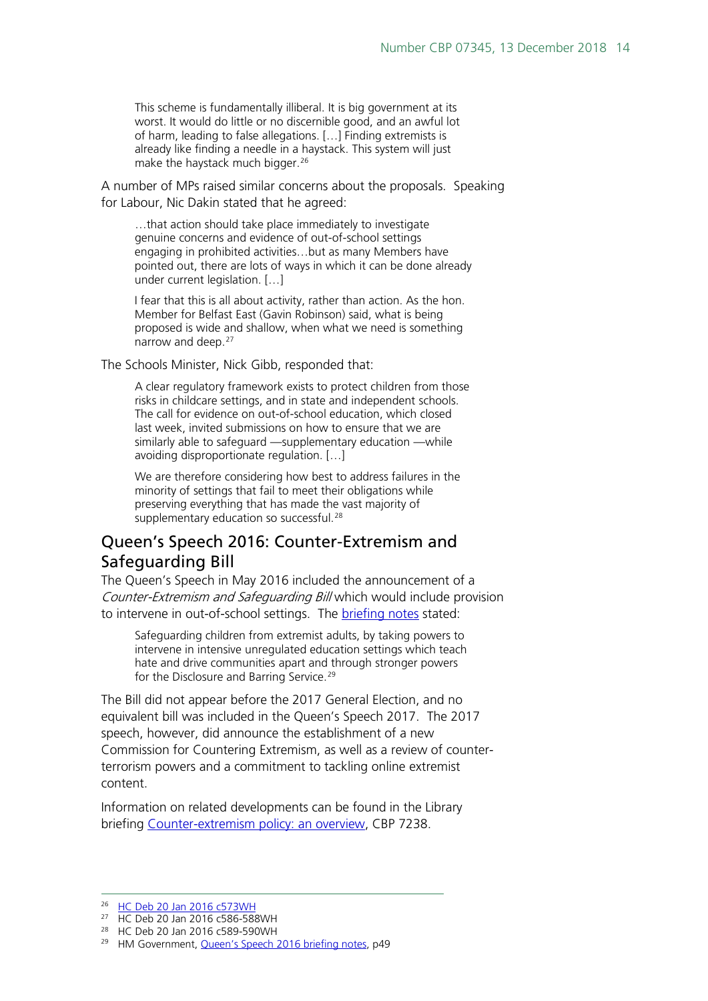This scheme is fundamentally illiberal. It is big government at its worst. It would do little or no discernible good, and an awful lot of harm, leading to false allegations. […] Finding extremists is already like finding a needle in a haystack. This system will just make the haystack much bigger.<sup>[26](#page-13-1)</sup>

A number of MPs raised similar concerns about the proposals. Speaking for Labour, Nic Dakin stated that he agreed:

…that action should take place immediately to investigate genuine concerns and evidence of out-of-school settings engaging in prohibited activities…but as many Members have pointed out, there are lots of ways in which it can be done already under current legislation. […]

I fear that this is all about activity, rather than action. As the hon. Member for Belfast East (Gavin Robinson) said, what is being proposed is wide and shallow, when what we need is something narrow and deep.<sup>[27](#page-13-2)</sup>

The Schools Minister, Nick Gibb, responded that:

A clear regulatory framework exists to protect children from those risks in childcare settings, and in state and independent schools. The call for evidence on out-of-school education, which closed last week, invited submissions on how to ensure that we are similarly able to safeguard —supplementary education —while avoiding disproportionate regulation. […]

We are therefore considering how best to address failures in the minority of settings that fail to meet their obligations while preserving everything that has made the vast majority of supplementary education so successful.<sup>[28](#page-13-3)</sup>

### <span id="page-13-0"></span>Queen's Speech 2016: Counter-Extremism and Safeguarding Bill

The Queen's Speech in May 2016 included the announcement of a Counter-Extremism and Safeguarding Bill which would include provision to intervene in out-of-school settings. The **briefing notes** stated:

Safeguarding children from extremist adults, by taking powers to intervene in intensive unregulated education settings which teach hate and drive communities apart and through stronger powers for the Disclosure and Barring Service.<sup>[29](#page-13-4)</sup>

The Bill did not appear before the 2017 General Election, and no equivalent bill was included in the Queen's Speech 2017. The 2017 speech, however, did announce the establishment of a new Commission for Countering Extremism, as well as a review of counterterrorism powers and a commitment to tackling online extremist content.

Information on related developments can be found in the Library briefing [Counter-extremism policy: an overview,](http://researchbriefings.parliament.uk/ResearchBriefing/Summary/CBP-7238) CBP 7238.

 <sup>26</sup> [HC Deb 20 Jan 2016 c573WH](http://www.publications.parliament.uk/pa/cm201516/cmhansrd/cm160120/halltext/160120h0001.htm#16012030000001)

<span id="page-13-2"></span><span id="page-13-1"></span><sup>&</sup>lt;sup>27</sup> HC Deb 20 Jan 2016 c586-588WH

<span id="page-13-3"></span><sup>28</sup> HC Deb 20 Jan 2016 c589-590WH

<span id="page-13-4"></span><sup>&</sup>lt;sup>29</sup> HM Government, [Queen's Speech 2016 briefing notes,](https://www.gov.uk/government/uploads/system/uploads/attachment_data/file/524040/Queen_s_Speech_2016_background_notes_.pdf) p49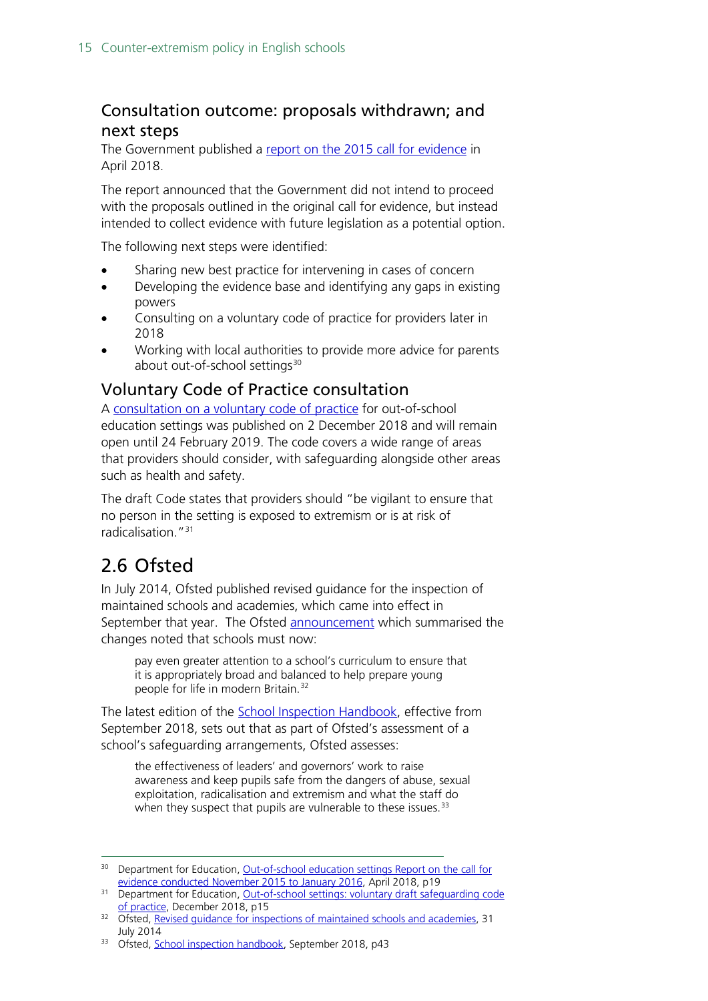## <span id="page-14-0"></span>Consultation outcome: proposals withdrawn; and next steps

The Government published a [report on the 2015 call for evidence](https://www.gov.uk/government/consultations/out-of-school-education-settings-registration-and-inspection) in April 2018.

The report announced that the Government did not intend to proceed with the proposals outlined in the original call for evidence, but instead intended to collect evidence with future legislation as a potential option.

The following next steps were identified:

- Sharing new best practice for intervening in cases of concern
- Developing the evidence base and identifying any gaps in existing powers
- Consulting on a voluntary code of practice for providers later in 2018
- Working with local authorities to provide more advice for parents about out-of-school settings<sup>[30](#page-14-3)</sup>

### <span id="page-14-1"></span>Voluntary Code of Practice consultation

A [consultation on a voluntary code of practice](https://www.gov.uk/government/consultations/out-of-school-settings-voluntary-safeguarding-code-of-practice) for out-of-school education settings was published on 2 December 2018 and will remain open until 24 February 2019. The code covers a wide range of areas that providers should consider, with safeguarding alongside other areas such as health and safety.

The draft Code states that providers should "be vigilant to ensure that no person in the setting is exposed to extremism or is at risk of radicalisation."[31](#page-14-4)

# <span id="page-14-2"></span>2.6 Ofsted

In July 2014, Ofsted published revised guidance for the inspection of maintained schools and academies, which came into effect in September that year. The Ofsted [announcement](http://www.ofsted.gov.uk/news/revised-guidance-for-inspections-of-maintained-schools-and-academies) which summarised the changes noted that schools must now:

pay even greater attention to a school's curriculum to ensure that it is appropriately broad and balanced to help prepare young people for life in modern Britain.<sup>[32](#page-14-5)</sup>

The latest edition of the [School Inspection Handbook,](https://www.gov.uk/government/publications/school-inspection-handbook-from-september-2015) effective from September 2018, sets out that as part of Ofsted's assessment of a school's safeguarding arrangements, Ofsted assesses:

the effectiveness of leaders' and governors' work to raise awareness and keep pupils safe from the dangers of abuse, sexual exploitation, radicalisation and extremism and what the staff do when they suspect that pupils are vulnerable to these issues.<sup>[33](#page-14-6)</sup>

<span id="page-14-3"></span><sup>&</sup>lt;sup>30</sup> Department for Education, Out-of-school education settings Report on the call for [evidence conducted November 2015 to January 2016,](https://assets.publishing.service.gov.uk/government/uploads/system/uploads/attachment_data/file/698250/Out-of-school_education_settings-Report_on_the_call_for-evidence.pdf) April 2018, p19

<span id="page-14-4"></span><sup>&</sup>lt;sup>31</sup> Department for Education, <u>Out-of-school settings: voluntary draft safeguarding code</u> [of practice,](https://consult.education.gov.uk/regulatory-framework-unit/out-of-school-settings-voluntary-safeguarding-code/supporting_documents/Voluntary%20safeguarding%20code%20of%20practiceDraft%20guidance.pdf) December 2018, p15

<span id="page-14-5"></span><sup>&</sup>lt;sup>32</sup> Ofsted, [Revised guidance for inspections of maintained schools and academies,](http://www.ofsted.gov.uk/news/revised-guidance-for-inspections-of-maintained-schools-and-academies) 31 July 2014

<span id="page-14-6"></span><sup>33</sup> Ofsted, [School inspection handbook,](https://www.gov.uk/government/publications/school-inspection-handbook-from-september-2015) September 2018, p43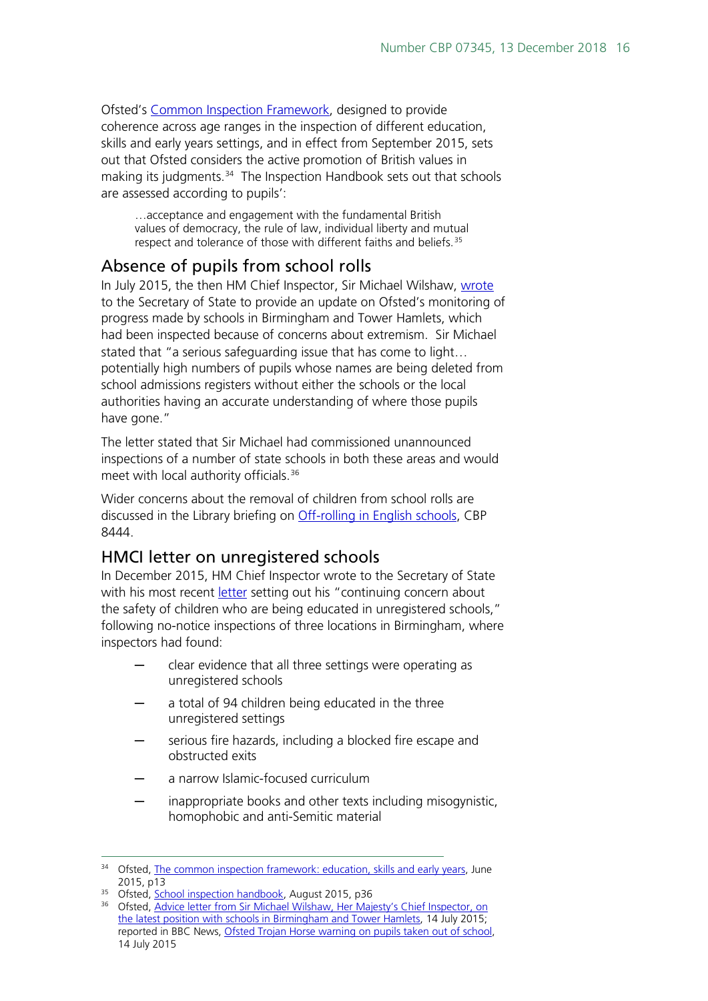Ofsted's [Common Inspection Framework,](https://www.gov.uk/government/publications/common-inspection-framework-education-skills-and-early-years-from-september-2015) designed to provide coherence across age ranges in the inspection of different education, skills and early years settings, and in effect from September 2015, sets out that Ofsted considers the active promotion of British values in making its judgments.<sup>34</sup> The Inspection Handbook sets out that schools are assessed according to pupils':

…acceptance and engagement with the fundamental British values of democracy, the rule of law, individual liberty and mutual respect and tolerance of those with different faiths and beliefs.<sup>[35](#page-15-3)</sup>

### <span id="page-15-0"></span>Absence of pupils from school rolls

In July 2015, the then HM Chief Inspector, Sir Michael Wilshaw, [wrote](https://www.gov.uk/government/uploads/system/uploads/attachment_data/file/444746/Advice_letter_from_HMCI_on_the_latest_position_with_schools_in_Birmingham_and_Tower_Hamlets.pdf) to the Secretary of State to provide an update on Ofsted's monitoring of progress made by schools in Birmingham and Tower Hamlets, which had been inspected because of concerns about extremism. Sir Michael stated that "a serious safeguarding issue that has come to light… potentially high numbers of pupils whose names are being deleted from school admissions registers without either the schools or the local authorities having an accurate understanding of where those pupils have gone."

The letter stated that Sir Michael had commissioned unannounced inspections of a number of state schools in both these areas and would meet with local authority officials.[36](#page-15-4)

Wider concerns about the removal of children from school rolls are discussed in the Library briefing on [Off-rolling in English schools,](https://researchbriefings.parliament.uk/ResearchBriefing/Summary/CBP-8444) CBP 8444.

### <span id="page-15-1"></span>HMCI letter on unregistered schools

In December 2015, HM Chief Inspector wrote to the Secretary of State with his most recent [letter](https://www.gov.uk/government/uploads/system/uploads/attachment_data/file/484458/151211_HMCI_to_Secretary_of_State_advice_note_on_3_unregistered.pdf) setting out his "continuing concern about the safety of children who are being educated in unregistered schools," following no-notice inspections of three locations in Birmingham, where inspectors had found:

- ─ clear evidence that all three settings were operating as unregistered schools
- a total of 94 children being educated in the three unregistered settings
- serious fire hazards, including a blocked fire escape and obstructed exits
- a narrow Islamic-focused curriculum
- inappropriate books and other texts including misogynistic, homophobic and anti-Semitic material

<span id="page-15-2"></span><sup>&</sup>lt;sup>34</sup> Ofsted, [The common inspection framework: education, skills and early years,](https://www.gov.uk/government/publications/common-inspection-framework-education-skills-and-early-years-from-september-2015) June 2015, p13

<span id="page-15-3"></span><sup>&</sup>lt;sup>35</sup> Ofsted, [School inspection handbook,](https://www.gov.uk/government/uploads/system/uploads/attachment_data/file/458866/School_inspection_handbook_section_5_from_September_2015.pdf) August 2015, p36

<span id="page-15-4"></span><sup>&</sup>lt;sup>36</sup> Ofsted, Advice letter from Sir Michael Wilshaw, Her Majesty's Chief Inspector, on [the latest position with schools in Birmingham and Tower Hamlets,](https://www.gov.uk/government/uploads/system/uploads/attachment_data/file/444746/Advice_letter_from_HMCI_on_the_latest_position_with_schools_in_Birmingham_and_Tower_Hamlets.pdf) 14 July 2015; reported in BBC News, [Ofsted Trojan Horse warning on pupils taken out of school,](http://www.bbc.co.uk/news/education-33520643) 14 July 2015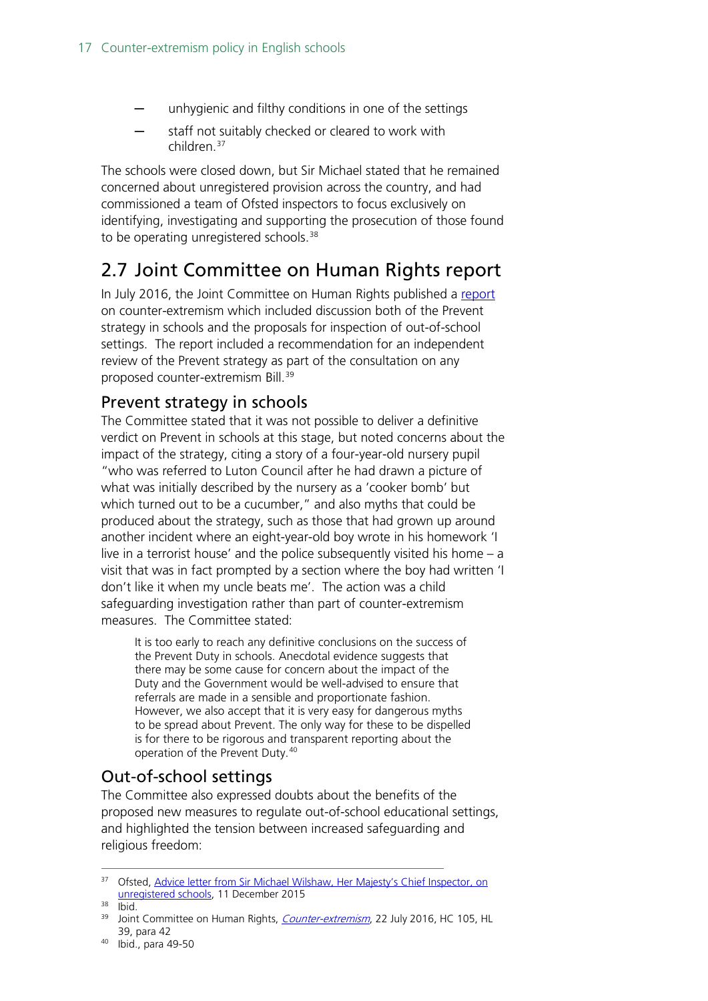- unhygienic and filthy conditions in one of the settings
- staff not suitably checked or cleared to work with children.[37](#page-16-3)

The schools were closed down, but Sir Michael stated that he remained concerned about unregistered provision across the country, and had commissioned a team of Ofsted inspectors to focus exclusively on identifying, investigating and supporting the prosecution of those found to be operating unregistered schools.<sup>[38](#page-16-4)</sup>

# <span id="page-16-0"></span>2.7 Joint Committee on Human Rights report

In July 2016, the Joint Committee on Human Rights published a [report](http://www.parliament.uk/business/committees/committees-a-z/joint-select/human-rights-committee/news-parliament-2015/counter-extremism-report-published-16-17/) on counter-extremism which included discussion both of the Prevent strategy in schools and the proposals for inspection of out-of-school settings. The report included a recommendation for an independent review of the Prevent strategy as part of the consultation on any proposed counter-extremism Bill.[39](#page-16-5)

### <span id="page-16-1"></span>Prevent strategy in schools

The Committee stated that it was not possible to deliver a definitive verdict on Prevent in schools at this stage, but noted concerns about the impact of the strategy, citing a story of a four-year-old nursery pupil "who was referred to Luton Council after he had drawn a picture of what was initially described by the nursery as a 'cooker bomb' but which turned out to be a cucumber," and also myths that could be produced about the strategy, such as those that had grown up around another incident where an eight-year-old boy wrote in his homework 'I live in a terrorist house' and the police subsequently visited his home – a visit that was in fact prompted by a section where the boy had written 'I don't like it when my uncle beats me'. The action was a child safeguarding investigation rather than part of counter-extremism measures. The Committee stated:

It is too early to reach any definitive conclusions on the success of the Prevent Duty in schools. Anecdotal evidence suggests that there may be some cause for concern about the impact of the Duty and the Government would be well-advised to ensure that referrals are made in a sensible and proportionate fashion. However, we also accept that it is very easy for dangerous myths to be spread about Prevent. The only way for these to be dispelled is for there to be rigorous and transparent reporting about the operation of the Prevent Duty.[40](#page-16-6)

## <span id="page-16-2"></span>Out-of-school settings

The Committee also expressed doubts about the benefits of the proposed new measures to regulate out-of-school educational settings, and highlighted the tension between increased safeguarding and religious freedom:

<span id="page-16-3"></span><sup>&</sup>lt;sup>37</sup> Ofsted, Advice letter from Sir Michael Wilshaw, Her Majesty's Chief Inspector, on [unregistered schools,](https://www.gov.uk/government/uploads/system/uploads/attachment_data/file/484458/151211_HMCI_to_Secretary_of_State_advice_note_on_3_unregistered.pdf) 11 December 2015

<span id="page-16-4"></span><sup>38</sup> Ibid.

<span id="page-16-5"></span><sup>&</sup>lt;sup>39</sup> Joint Committee on Human Rights, *[Counter-extremism](http://www.publications.parliament.uk/pa/jt201617/jtselect/jtrights/105/105.pdf)*, 22 July 2016, HC 105, HL 39, para 42

<span id="page-16-6"></span><sup>40</sup> Ibid., para 49-50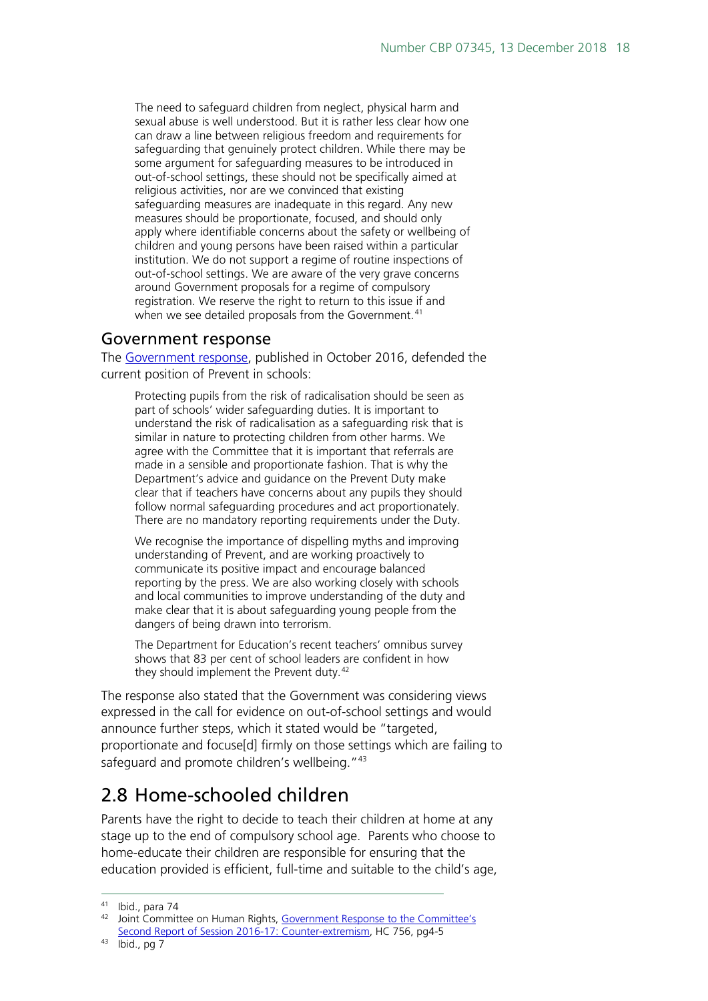The need to safeguard children from neglect, physical harm and sexual abuse is well understood. But it is rather less clear how one can draw a line between religious freedom and requirements for safeguarding that genuinely protect children. While there may be some argument for safeguarding measures to be introduced in out-of-school settings, these should not be specifically aimed at religious activities, nor are we convinced that existing safeguarding measures are inadequate in this regard. Any new measures should be proportionate, focused, and should only apply where identifiable concerns about the safety or wellbeing of children and young persons have been raised within a particular institution. We do not support a regime of routine inspections of out-of-school settings. We are aware of the very grave concerns around Government proposals for a regime of compulsory registration. We reserve the right to return to this issue if and when we see detailed proposals from the Government.<sup>[41](#page-17-2)</sup>

### <span id="page-17-0"></span>Government response

The [Government response,](http://www.publications.parliament.uk/pa/jt201617/jtselect/jtrights/756/756b.pdf) published in October 2016, defended the current position of Prevent in schools:

Protecting pupils from the risk of radicalisation should be seen as part of schools' wider safeguarding duties. It is important to understand the risk of radicalisation as a safeguarding risk that is similar in nature to protecting children from other harms. We agree with the Committee that it is important that referrals are made in a sensible and proportionate fashion. That is why the Department's advice and guidance on the Prevent Duty make clear that if teachers have concerns about any pupils they should follow normal safeguarding procedures and act proportionately. There are no mandatory reporting requirements under the Duty.

We recognise the importance of dispelling myths and improving understanding of Prevent, and are working proactively to communicate its positive impact and encourage balanced reporting by the press. We are also working closely with schools and local communities to improve understanding of the duty and make clear that it is about safeguarding young people from the dangers of being drawn into terrorism.

The Department for Education's recent teachers' omnibus survey shows that 83 per cent of school leaders are confident in how they should implement the Prevent duty.<sup>[42](#page-17-3)</sup>

The response also stated that the Government was considering views expressed in the call for evidence on out-of-school settings and would announce further steps, which it stated would be "targeted, proportionate and focuse[d] firmly on those settings which are failing to safeguard and promote children's wellbeing."<sup>43</sup>

# <span id="page-17-1"></span>2.8 Home-schooled children

Parents have the right to decide to teach their children at home at any stage up to the end of compulsory school age. Parents who choose to home-educate their children are responsible for ensuring that the education provided is efficient, full-time and suitable to the child's age,

 <sup>41</sup> Ibid., para 74

<span id="page-17-3"></span><span id="page-17-2"></span><sup>42</sup> Joint Committee on Human Rights, Government Response to the Committee's [Second Report of Session 2016-17: Counter-extremism,](http://www.publications.parliament.uk/pa/jt201617/jtselect/jtrights/756/756b.pdf) HC 756, pg4-5<br><sup>43</sup> Ibid., pg 7

<span id="page-17-4"></span>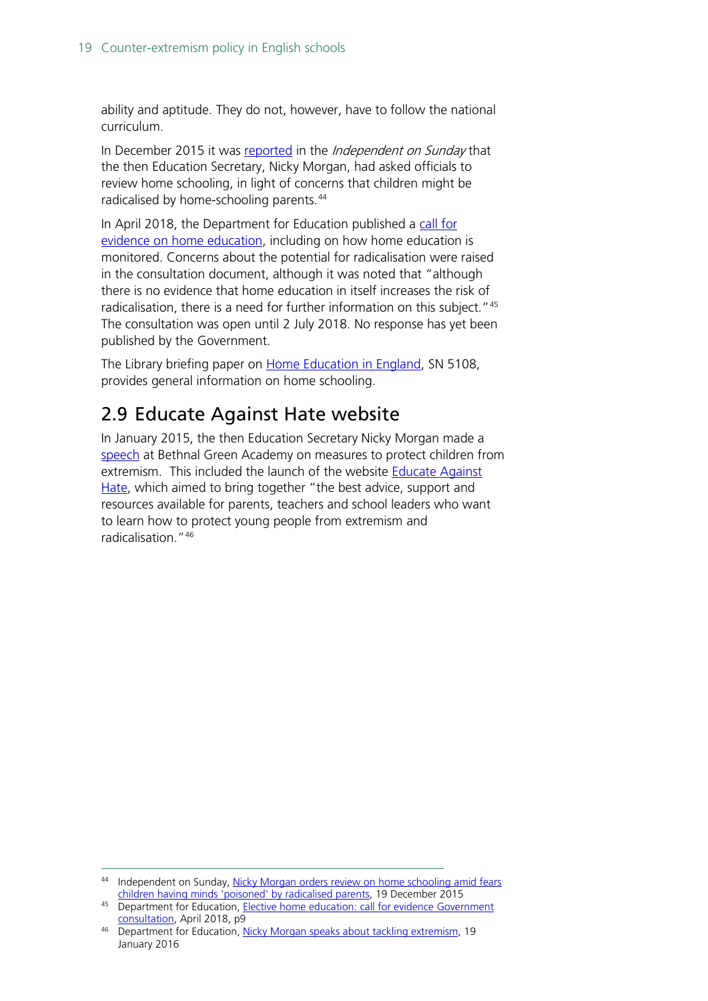ability and aptitude. They do not, however, have to follow the national curriculum.

In December 2015 it was [reported](http://www.independent.co.uk/news/education/education-news/nicky-morgan-orders-review-on-home-schooling-amid-fears-children-having-minds-poisoned-by-a6779886.html) in the *Independent on Sunday* that the then Education Secretary, Nicky Morgan, had asked officials to review home schooling, in light of concerns that children might be radicalised by home-schooling parents.<sup>44</sup>

In April 2018, the Department for Education published a call for [evidence on home education,](https://consult.education.gov.uk/school-frameworks/home-education-call-for-evidence-and-revised-dfe-a/) including on how home education is monitored. Concerns about the potential for radicalisation were raised in the consultation document, although it was noted that "although there is no evidence that home education in itself increases the risk of radicalisation, there is a need for further information on this subject."<sup>[45](#page-18-2)</sup> The consultation was open until 2 July 2018. No response has yet been published by the Government.

The Library briefing paper on [Home Education in England,](http://researchbriefings.parliament.uk/ResearchBriefing/Summary/SN05108) SN 5108, provides general information on home schooling.

# <span id="page-18-0"></span>2.9 Educate Against Hate website

In January 2015, the then Education Secretary Nicky Morgan made a [speech](https://www.gov.uk/government/speeches/nicky-morgan-speaks-about-tackling-extremism) at Bethnal Green Academy on measures to protect children from extremism. This included the launch of the website [Educate Against](http://www.educateagainsthate.com/)  [Hate,](http://www.educateagainsthate.com/) which aimed to bring together "the best advice, support and resources available for parents, teachers and school leaders who want to learn how to protect young people from extremism and radicalisation."[46](#page-18-3)

<span id="page-18-1"></span><sup>44</sup> Independent on Sunday, Nicky Morgan orders review on home schooling amid fears [children having minds 'poisoned' by radicalised parents,](http://www.independent.co.uk/news/education/education-news/nicky-morgan-orders-review-on-home-schooling-amid-fears-children-having-minds-poisoned-by-a6779886.html) 19 December 2015

<span id="page-18-2"></span><sup>45</sup> Department for Education, Elective home education: call for evidence Government [consultation,](https://consult.education.gov.uk/school-frameworks/home-education-call-for-evidence-and-revised-dfe-a/supporting_documents/Elective%20home%20educationcall%20for%20evidence%20%20consultation.pdf) April 2018, p9

<span id="page-18-3"></span><sup>46</sup> Department for Education, [Nicky Morgan speaks about tackling extremism,](https://www.gov.uk/government/speeches/nicky-morgan-speaks-about-tackling-extremism) 19 January 2016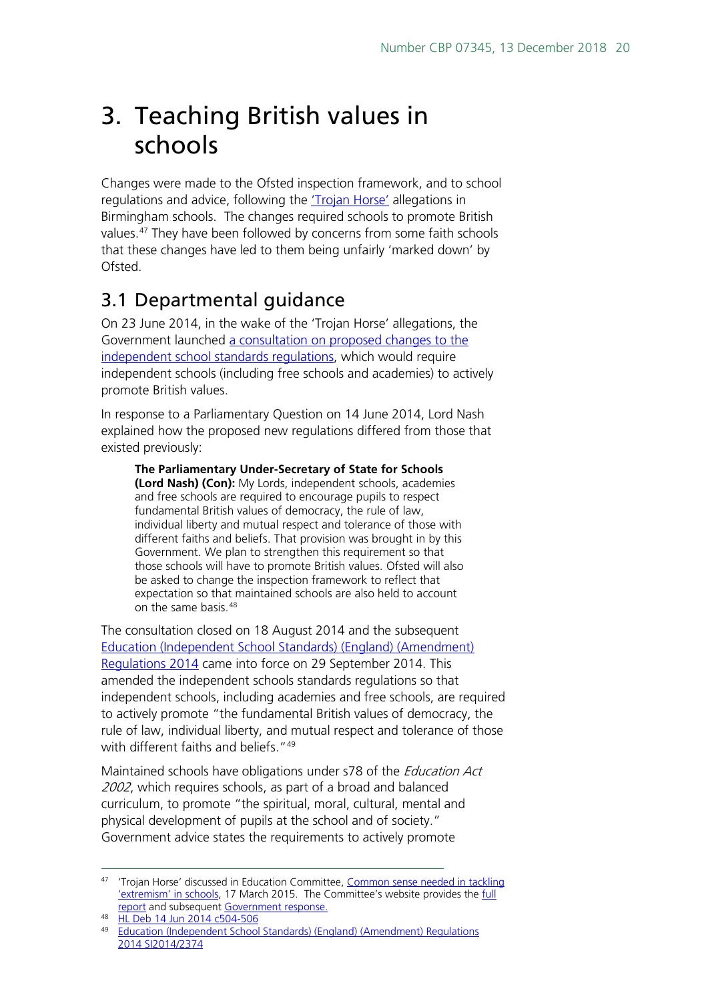# <span id="page-19-0"></span>3. Teaching British values in schools

Changes were made to the Ofsted inspection framework, and to school regulations and advice, following the **Trojan Horse'** allegations in Birmingham schools. The changes required schools to promote British values.<sup>[47](#page-19-2)</sup> They have been followed by concerns from some faith schools that these changes have led to them being unfairly 'marked down' by Ofsted.

# <span id="page-19-1"></span>3.1 Departmental guidance

On 23 June 2014, in the wake of the 'Trojan Horse' allegations, the Government launched [a consultation on proposed changes to the](https://www.gov.uk/government/consultations/proposed-new-independent-school-standards)  [independent school standards regulations,](https://www.gov.uk/government/consultations/proposed-new-independent-school-standards) which would require independent schools (including free schools and academies) to actively promote British values.

In response to a Parliamentary Question on 14 June 2014, Lord Nash explained how the proposed new regulations differed from those that existed previously:

**The Parliamentary Under-Secretary of State for Schools (Lord Nash) (Con):** My Lords, independent schools, academies and free schools are required to encourage pupils to respect fundamental British values of democracy, the rule of law, individual liberty and mutual respect and tolerance of those with different faiths and beliefs. That provision was brought in by this Government. We plan to strengthen this requirement so that those schools will have to promote British values. Ofsted will also be asked to change the inspection framework to reflect that expectation so that maintained schools are also held to account on the same basis.[48](#page-19-3)

The consultation closed on 18 August 2014 and the subsequent [Education \(Independent School Standards\) \(England\) \(Amendment\)](http://www.legislation.gov.uk/uksi/2014/2374/pdfs/uksi_20142374_en.pdf)  [Regulations 2014](http://www.legislation.gov.uk/uksi/2014/2374/pdfs/uksi_20142374_en.pdf) came into force on 29 September 2014. This amended the independent schools standards regulations so that independent schools, including academies and free schools, are required to actively promote "the fundamental British values of democracy, the rule of law, individual liberty, and mutual respect and tolerance of those with different faiths and beliefs."<sup>49</sup>

Maintained schools have obligations under s78 of the *Education Act* 2002, which requires schools, as part of a broad and balanced curriculum, to promote "the spiritual, moral, cultural, mental and physical development of pupils at the school and of society." Government advice states the requirements to actively promote

<span id="page-19-2"></span><sup>&</sup>lt;sup>47</sup> 'Trojan Horse' discussed in Education Committee, Common sense needed in tackling ['extremism'](http://www.parliament.uk/business/committees/committees-a-z/commons-select/education-committee/news/extremism-in-schools-report/) in schools, 17 March 2015. The Committee's website provides the [full](http://www.publications.parliament.uk/pa/cm201415/cmselect/cmeduc/473/473.pdf)  [report](http://www.publications.parliament.uk/pa/cm201415/cmselect/cmeduc/473/473.pdf) and subsequent [Government response.](https://www.gov.uk/government/publications/extremism-in-schools-response-to-education-select-committee)

<sup>48</sup> [HL Deb 14 Jun 2014 c504-506](http://www.publications.parliament.uk/pa/ld201415/ldhansrd/text/140612-0001.htm#14061243000012)

<span id="page-19-4"></span><span id="page-19-3"></span><sup>49</sup> [Education \(Independent School Standards\) \(England\) \(Amendment\) Regulations](http://www.legislation.gov.uk/uksi/2014/2374/pdfs/uksi_20142374_en.pdf)  [2014 SI2014/2374](http://www.legislation.gov.uk/uksi/2014/2374/pdfs/uksi_20142374_en.pdf)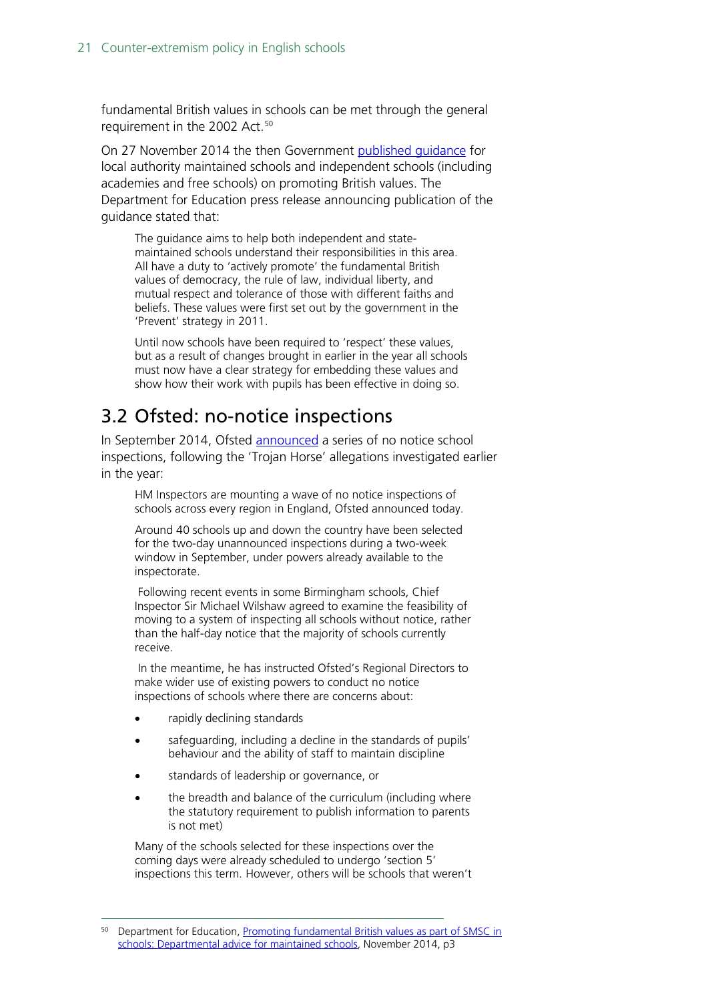fundamental British values in schools can be met through the general requirement in the 2002 Act.<sup>[50](#page-20-1)</sup>

On 27 November 2014 the then Government [published guidance](https://www.gov.uk/government/news/guidance-on-promoting-british-values-in-schools-published) for local authority maintained schools and independent schools (including academies and free schools) on promoting British values. The Department for Education press release announcing publication of the guidance stated that:

The guidance aims to help both independent and statemaintained schools understand their responsibilities in this area. All have a duty to 'actively promote' the fundamental British values of democracy, the rule of law, individual liberty, and mutual respect and tolerance of those with different faiths and beliefs. These values were first set out by the government in the 'Prevent' strategy in 2011.

Until now schools have been required to 'respect' these values, but as a result of changes brought in earlier in the year all schools must now have a clear strategy for embedding these values and show how their work with pupils has been effective in doing so.

# <span id="page-20-0"></span>3.2 Ofsted: no-notice inspections

In September 2014, Ofsted [announced](http://www.ofsted.gov.uk/news/ofsted-begins-series-of-no-notice-school-inspections-0) a series of no notice school inspections, following the 'Trojan Horse' allegations investigated earlier in the year:

HM Inspectors are mounting a wave of no notice inspections of schools across every region in England, Ofsted announced today.

Around 40 schools up and down the country have been selected for the two-day unannounced inspections during a two-week window in September, under powers already available to the inspectorate.

Following recent events in some Birmingham schools, Chief Inspector Sir Michael Wilshaw agreed to examine the feasibility of moving to a system of inspecting all schools without notice, rather than the half-day notice that the majority of schools currently receive.

In the meantime, he has instructed Ofsted's Regional Directors to make wider use of existing powers to conduct no notice inspections of schools where there are concerns about:

- rapidly declining standards
- safeguarding, including a decline in the standards of pupils' behaviour and the ability of staff to maintain discipline
- standards of leadership or governance, or
- the breadth and balance of the curriculum (including where the statutory requirement to publish information to parents is not met)

Many of the schools selected for these inspections over the coming days were already scheduled to undergo 'section 5' inspections this term. However, others will be schools that weren't

<span id="page-20-1"></span>Department for Education, Promoting fundamental British values as part of SMSC in [schools: Departmental advice for maintained schools,](https://www.gov.uk/government/uploads/system/uploads/attachment_data/file/380595/SMSC_Guidance_Maintained_Schools.pdf) November 2014, p3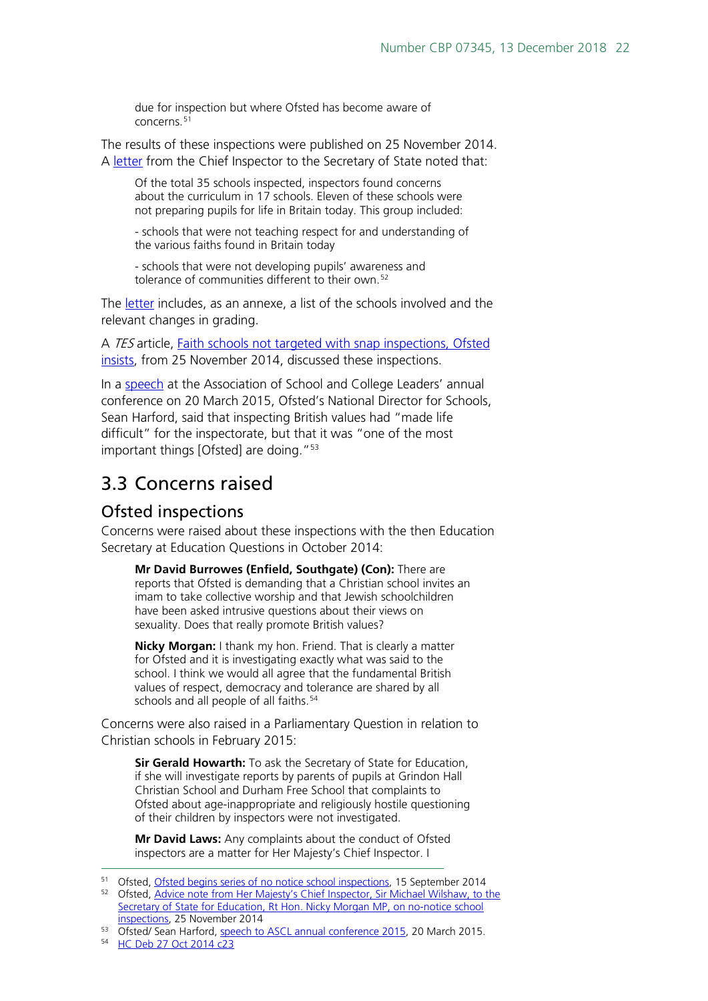due for inspection but where Ofsted has become aware of concerns.<sup>[51](#page-21-2)</sup>

The results of these inspections were published on 25 November 2014. A [letter](https://www.gov.uk/government/uploads/system/uploads/attachment_data/file/386584/No-notice_20inspections_20advice_20note.pdf) from the Chief Inspector to the Secretary of State noted that:

Of the total 35 schools inspected, inspectors found concerns about the curriculum in 17 schools. Eleven of these schools were not preparing pupils for life in Britain today. This group included:

- schools that were not teaching respect for and understanding of the various faiths found in Britain today

- schools that were not developing pupils' awareness and tolerance of communities different to their own.<sup>[52](#page-21-3)</sup>

The [letter](https://www.gov.uk/government/uploads/system/uploads/attachment_data/file/386584/No-notice_20inspections_20advice_20note.pdf) includes, as an annexe, a list of the schools involved and the relevant changes in grading.

A TES article, [Faith schools not targeted with snap inspections, Ofsted](https://news.tes.co.uk/b/ofsted-watch/2014/11/25/faith-schools-not-being-penalised-ofsted-insists.aspx)  [insists,](https://news.tes.co.uk/b/ofsted-watch/2014/11/25/faith-schools-not-being-penalised-ofsted-insists.aspx) from 25 November 2014, discussed these inspections.

In a [speech](https://www.gov.uk/government/speeches/speech-to-association-of-school-and-college-leaders-conference-2015) at the Association of School and College Leaders' annual conference on 20 March 2015, Ofsted's National Director for Schools, Sean Harford, said that inspecting British values had "made life difficult" for the inspectorate, but that it was "one of the most important things [Ofsted] are doing."<sup>[53](#page-21-4)</sup>

# <span id="page-21-0"></span>3.3 Concerns raised

### <span id="page-21-1"></span>Ofsted inspections

Concerns were raised about these inspections with the then Education Secretary at Education Questions in October 2014:

**Mr David Burrowes (Enfield, Southgate) (Con):** There are reports that Ofsted is demanding that a Christian school invites an imam to take collective worship and that Jewish schoolchildren have been asked intrusive questions about their views on sexuality. Does that really promote British values?

**Nicky Morgan:** I thank my hon. Friend. That is clearly a matter for Ofsted and it is investigating exactly what was said to the school. I think we would all agree that the fundamental British values of respect, democracy and tolerance are shared by all schools and all people of all faiths.<sup>[54](#page-21-5)</sup>

Concerns were also raised in a Parliamentary Question in relation to Christian schools in February 2015:

**Sir Gerald Howarth:** To ask the Secretary of State for Education, if she will investigate reports by parents of pupils at Grindon Hall Christian School and Durham Free School that complaints to Ofsted about age-inappropriate and religiously hostile questioning of their children by inspectors were not investigated.

**Mr David Laws:** Any complaints about the conduct of Ofsted inspectors are a matter for Her Majesty's Chief Inspector. I

<span id="page-21-5"></span><sup>54</sup> [HC Deb 27 Oct 2014 c23](http://www.publications.parliament.uk/pa/cm201415/cmhansrd/cm141027/debtext/141027-0001.htm#14102711000196)

<sup>&</sup>lt;sup>51</sup> Ofsted, [Ofsted begins series of no notice school inspections,](https://www.gov.uk/government/news/ofsted-begins-series-of-no-notice-school-inspections) 15 September 2014

<span id="page-21-3"></span><span id="page-21-2"></span><sup>52</sup> Ofsted, [Advice note from Her Majesty's Chief Inspector, Sir Michael Wilshaw, to the](https://www.gov.uk/government/uploads/system/uploads/attachment_data/file/386584/No-notice_20inspections_20advice_20note.pdf)  Secretary of State for Education, Rt Hon. Nicky Morgan MP, on no-notice school [inspections,](https://www.gov.uk/government/uploads/system/uploads/attachment_data/file/386584/No-notice_20inspections_20advice_20note.pdf) 25 November 2014

<span id="page-21-4"></span><sup>53</sup> Ofsted/ Sean Harford, [speech to ASCL annual conference 2015,](https://www.gov.uk/government/speeches/speech-to-association-of-school-and-college-leaders-conference-2015) 20 March 2015.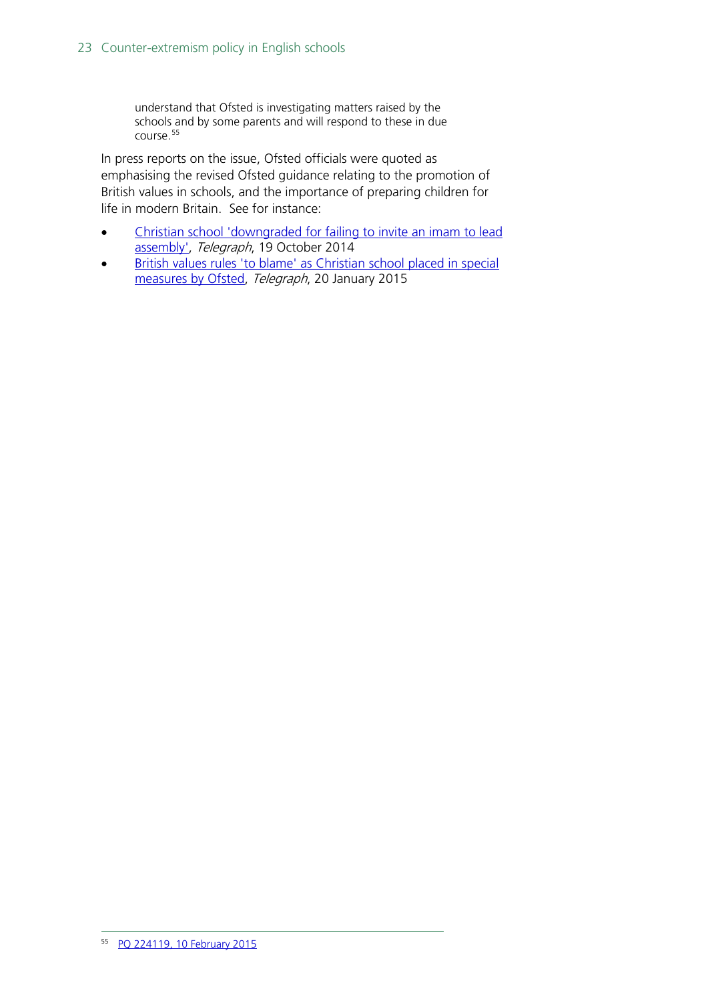understand that Ofsted is investigating matters raised by the schools and by some parents and will respond to these in due course.<sup>[55](#page-22-0)</sup>

In press reports on the issue, Ofsted officials were quoted as emphasising the revised Ofsted guidance relating to the promotion of British values in schools, and the importance of preparing children for life in modern Britain. See for instance:

- [Christian school 'downgraded for failing to invite an imam to lead](http://www.telegraph.co.uk/news/religion/11173102/Christian-school-downgraded-for-failing-to-invite-an-imam-to-lead-assembly.html)  [assembly',](http://www.telegraph.co.uk/news/religion/11173102/Christian-school-downgraded-for-failing-to-invite-an-imam-to-lead-assembly.html) Telegraph, 19 October 2014
- <span id="page-22-0"></span>British values rules 'to blame' as Christian school placed in special [measures by Ofsted,](http://www.telegraph.co.uk/news/religion/11358797/British-Values-rules-to-blame-as-Christian-school-placed-in-special-measures-by-Ofsted.html) Telegraph, 20 January 2015